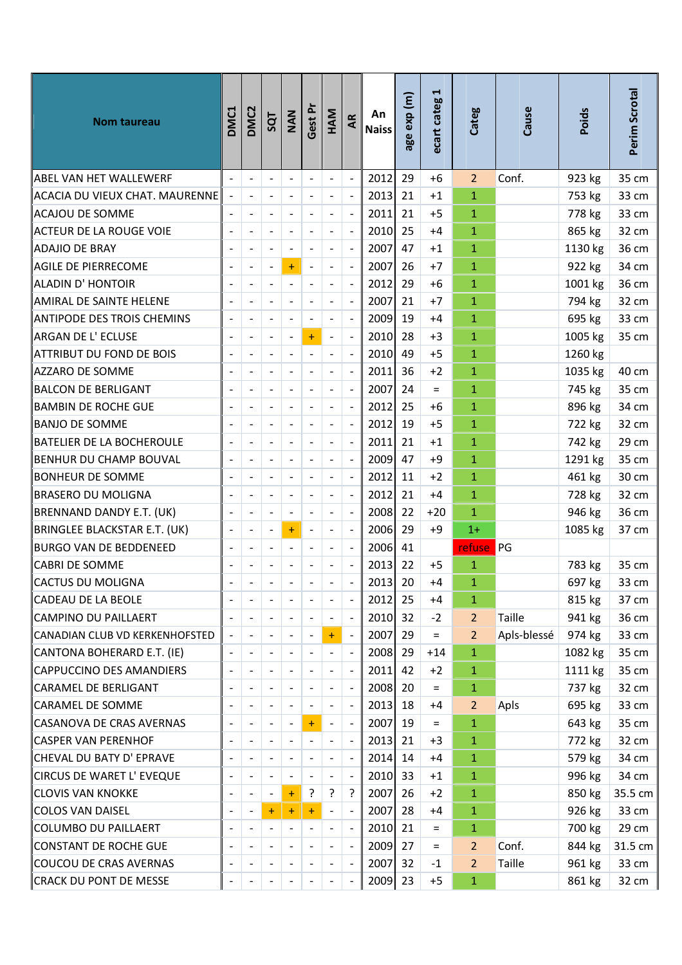| Nom taureau                       | DMC1                     | DMC <sub>2</sub>             | SQT                      | NAN                      | Gest Pr                      | HAM                          | AR                           | An<br><b>Naiss</b> | age exp (m) | $\blacktriangleright$<br>ecart categ | Categ          | Cause         | Poids   | Perim Scrotal |
|-----------------------------------|--------------------------|------------------------------|--------------------------|--------------------------|------------------------------|------------------------------|------------------------------|--------------------|-------------|--------------------------------------|----------------|---------------|---------|---------------|
| <b>ABEL VAN HET WALLEWERF</b>     |                          | $\overline{\phantom{a}}$     | $\overline{\phantom{a}}$ | $\overline{\phantom{a}}$ | $\overline{a}$               | $\frac{1}{2}$                | $\blacksquare$               | 2012               | 29          | $+6$                                 | $\overline{2}$ | Conf.         | 923 kg  | 35 cm         |
| ACACIA DU VIEUX CHAT. MAURENNE    |                          | $\qquad \qquad \blacksquare$ |                          | $\blacksquare$           | $\overline{a}$               | $\qquad \qquad \blacksquare$ | $\blacksquare$               | 2013               | 21          | $+1$                                 | $\mathbf{1}$   |               | 753 kg  | 33 cm         |
| <b>ACAJOU DE SOMME</b>            |                          | $\blacksquare$               |                          | $\Box$                   |                              | $\blacksquare$               | $\Box$                       | 2011               | 21          | $+5$                                 | $\mathbf{1}$   |               | 778 kg  | 33 cm         |
| ACTEUR DE LA ROUGE VOIE           |                          | $\overline{\phantom{a}}$     |                          | $\overline{\phantom{a}}$ | $\overline{a}$               | $\overline{\phantom{a}}$     | $\overline{\phantom{a}}$     | 2010               | 25          | $+4$                                 | $\mathbf{1}$   |               | 865 kg  | 32 cm         |
| ADAJIO DE BRAY                    |                          |                              |                          | $\overline{\phantom{a}}$ |                              |                              | $\overline{a}$               | 2007               | 47          | $+1$                                 | $\mathbf{1}$   |               | 1130 kg | 36 cm         |
| AGILE DE PIERRECOME               |                          | $\frac{1}{2}$                | $\overline{a}$           | $\ddot{}$                | $\overline{a}$               | $\blacksquare$               | $\overline{\phantom{a}}$     | 2007               | 26          | $+7$                                 | $\mathbf{1}$   |               | 922 kg  | 34 cm         |
| ALADIN D' HONTOIR                 |                          |                              |                          | $\overline{\phantom{a}}$ |                              |                              | $\overline{\phantom{a}}$     | 2012               | 29          | $+6$                                 | $\mathbf{1}$   |               | 1001 kg | 36 cm         |
| AMIRAL DE SAINTE HELENE           |                          | $\blacksquare$               |                          | $\overline{\phantom{a}}$ |                              | $\blacksquare$               | $\Box$                       | 2007               | 21          | $+7$                                 | $\mathbf{1}$   |               | 794 kg  | 32 cm         |
| <b>ANTIPODE DES TROIS CHEMINS</b> |                          | $\overline{\phantom{a}}$     |                          | $\frac{1}{2}$            | $\overline{a}$               |                              | $\overline{a}$               | 2009               | 19          | $+4$                                 | $\mathbf{1}$   |               | 695 kg  | 33 cm         |
| ARGAN DE L' ECLUSE                |                          | $\blacksquare$               |                          | $\blacksquare$           | $\ddot{}$                    | $\qquad \qquad \blacksquare$ | $\blacksquare$               | 2010               | 28          | $+3$                                 | $\mathbf{1}$   |               | 1005 kg | 35 cm         |
| ATTRIBUT DU FOND DE BOIS          |                          | $\blacksquare$               |                          | $\blacksquare$           | $\overline{a}$               | $\overline{\phantom{a}}$     | $\overline{\phantom{a}}$     | 2010               | 49          | $+5$                                 | $\mathbf{1}$   |               | 1260 kg |               |
| AZZARO DE SOMME                   |                          | $\frac{1}{2}$                |                          | $\overline{a}$           |                              |                              | $\overline{a}$               | 2011               | 36          | $+2$                                 | $\mathbf{1}$   |               | 1035 kg | 40 cm         |
| BALCON DE BERLIGANT               |                          | $\qquad \qquad \blacksquare$ |                          | $\Box$                   | $\overline{a}$               | $\overline{\phantom{a}}$     | $\Box$                       | 2007               | 24          | $=$                                  | $\mathbf{1}$   |               | 745 kg  | 35 cm         |
| <b>BAMBIN DE ROCHE GUE</b>        |                          |                              |                          | $\overline{\phantom{a}}$ |                              |                              | $\overline{a}$               | 2012               | 25          | $+6$                                 | $\mathbf{1}$   |               | 896 kg  | 34 cm         |
| BANJO DE SOMME                    |                          | $\blacksquare$               | $\overline{\phantom{a}}$ | $\blacksquare$           | $\overline{a}$               | $\overline{\phantom{a}}$     | $\overline{\phantom{a}}$     | 2012               | 19          | $+5$                                 | $\mathbf{1}$   |               | 722 kg  | 32 cm         |
| <b>BATELIER DE LA BOCHEROULE</b>  |                          |                              |                          | $\overline{\phantom{a}}$ |                              |                              | $\overline{\phantom{a}}$     | 2011               | 21          | $+1$                                 | $\mathbf{1}$   |               | 742 kg  | 29 cm         |
| BENHUR DU CHAMP BOUVAL            |                          | $\blacksquare$               | $\overline{\phantom{a}}$ | $\overline{\phantom{a}}$ | $\overline{a}$               | $\overline{\phantom{a}}$     | $\overline{\phantom{a}}$     | 2009               | 47          | $+9$                                 | $\mathbf{1}$   |               | 1291 kg | 35 cm         |
| <b>BONHEUR DE SOMME</b>           |                          | $\qquad \qquad \blacksquare$ |                          | $\overline{\phantom{a}}$ | $\overline{a}$               | $\overline{a}$               | $\overline{\phantom{a}}$     | 2012               | 11          | $+2$                                 | $\mathbf{1}$   |               | 461 kg  | 30 cm         |
| <b>BRASERO DU MOLIGNA</b>         |                          |                              |                          | $\blacksquare$           |                              |                              | $\overline{\phantom{a}}$     | 2012               | 21          | $+4$                                 | $\mathbf{1}$   |               | 728 kg  | 32 cm         |
| BRENNAND DANDY E.T. (UK)          |                          | $\blacksquare$               |                          | $\blacksquare$           | $\overline{a}$               | $\overline{\phantom{a}}$     | $\ddot{\phantom{a}}$         | 2008               | 22          | $+20$                                | $\mathbf{1}$   |               | 946 kg  | 36 cm         |
| BRINGLEE BLACKSTAR E.T. (UK)      |                          | $\blacksquare$               | $\overline{a}$           | $\ddot{}$                | $\overline{a}$               | $\overline{\phantom{a}}$     | $\Box$                       | 2006               | 29          | $+9$                                 | $1+$           |               | 1085 kg | 37 cm         |
| BURGO VAN DE BEDDENEED            |                          | $\overline{\phantom{a}}$     |                          | $\blacksquare$           | $\qquad \qquad \blacksquare$ | $\overline{\phantom{a}}$     | $\Box$                       | 2006               | 41          |                                      | refuse PG      |               |         |               |
| CABRI DE SOMME                    |                          |                              |                          |                          |                              |                              | $\overline{a}$               | 2013               | 22          | $+5$                                 | $\mathbf{1}$   |               | 783 kg  | 35 cm         |
| <b>CACTUS DU MOLIGNA</b>          |                          |                              |                          |                          |                              |                              |                              | 2013 20            |             | $+4$                                 | $\mathbf{1}$   |               | 697 kg  | 33 cm         |
| CADEAU DE LA BEOLE                |                          | $\overline{\phantom{a}}$     |                          | $\overline{\phantom{a}}$ |                              |                              | $\overline{\phantom{a}}$     | 2012 25            |             | $+4$                                 | $\mathbf{1}$   |               | 815 kg  | 37 cm         |
| CAMPINO DU PAILLAERT              |                          | $\blacksquare$               |                          | $\blacksquare$           |                              | $\overline{\phantom{a}}$     | $\Box$                       | 2010 32            |             | $-2$                                 | $\overline{2}$ | <b>Taille</b> | 941 kg  | 36 cm         |
| CANADIAN CLUB VD KERKENHOFSTED    |                          | $\overline{\phantom{a}}$     |                          | $\overline{\phantom{a}}$ |                              | ÷                            | $\overline{\phantom{a}}$     | $2007$ 29          |             | $=$                                  | $\overline{2}$ | Apls-blessé   | 974 kg  | 33 cm         |
| CANTONA BOHERARD E.T. (IE)        |                          |                              |                          | $\overline{\phantom{a}}$ |                              |                              | $\blacksquare$               | 2008               | 29          | $+14$                                | $\mathbf{1}$   |               | 1082 kg | 35 cm         |
| CAPPUCCINO DES AMANDIERS          | $\overline{\phantom{a}}$ | $\overline{\phantom{a}}$     |                          | $\blacksquare$           |                              | $\overline{\phantom{a}}$     | $\overline{\phantom{a}}$     | 2011               | 42          | $+2$                                 | $\mathbf{1}$   |               | 1111 kg | 35 cm         |
| CARAMEL DE BERLIGANT              |                          | $\overline{\phantom{a}}$     |                          | $\overline{\phantom{a}}$ |                              |                              | $\blacksquare$               | 2008 20            |             | $\equiv$                             | $\mathbf{1}$   |               | 737 kg  | 32 cm         |
| CARAMEL DE SOMME                  |                          | $\overline{\phantom{a}}$     |                          | $\blacksquare$           |                              |                              | $\blacksquare$               | $2013$ 18          |             | $+4$                                 | $\overline{2}$ | Apls          | 695 kg  | 33 cm         |
| <b>CASANOVA DE CRAS AVERNAS</b>   |                          |                              |                          | $\overline{\phantom{a}}$ | $+$                          |                              | $\Box$                       | 2007               | 19          | $=$                                  | $\mathbf{1}$   |               | 643 kg  | 35 cm         |
| CASPER VAN PERENHOF               |                          | $\qquad \qquad \blacksquare$ |                          | $\overline{\phantom{a}}$ | $\overline{a}$               |                              | $\overline{\phantom{a}}$     | 2013               | 21          | $+3$                                 | $\mathbf{1}$   |               | 772 kg  | 32 cm         |
| CHEVAL DU BATY D' EPRAVE          |                          | $\overline{\phantom{a}}$     |                          | $\overline{\phantom{a}}$ |                              |                              | $\overline{\phantom{a}}$     | 2014 14            |             | $+4$                                 | $\mathbf{1}$   |               | 579 kg  | 34 cm         |
| ∥CIRCUS DE WARET L' EVEQUE        |                          | $\qquad \qquad \blacksquare$ |                          | $\overline{\phantom{a}}$ |                              |                              | $\blacksquare$               | 2010 33            |             | $+1$                                 | $\mathbf{1}$   |               | 996 kg  | 34 cm         |
| <b>CLOVIS VAN KNOKKE</b>          |                          | $\qquad \qquad \blacksquare$ |                          | $\ddot{}$                | ?                            | ?                            | ?                            | 2007               | 26          | $+2$                                 | $\mathbf{1}$   |               | 850 kg  | 35.5 cm       |
| COLOS VAN DAISEL                  |                          | $\blacksquare$               | $\ddot{}$                | $\ddot{}$                | $\ddot{}$                    | $\overline{\phantom{a}}$     | $\blacksquare$               | 2007               | 28          | +4                                   | $\mathbf{1}$   |               | 926 kg  | 33 cm         |
| COLUMBO DU PAILLAERT              |                          | $\overline{\phantom{a}}$     |                          | $\overline{\phantom{a}}$ | $\overline{a}$               | $\overline{\phantom{a}}$     | $\blacksquare$               | 2010 21            |             | $=$                                  | $\mathbf{1}$   |               | 700 kg  | 29 cm         |
| CONSTANT DE ROCHE GUE             |                          |                              |                          |                          |                              |                              | $\overline{\phantom{a}}$     | 2009 27            |             | $\equiv$                             | $\overline{2}$ | Conf.         | 844 kg  | 31.5 cm       |
| COUCOU DE CRAS AVERNAS            |                          | $\overline{\phantom{a}}$     |                          | $\blacksquare$           |                              |                              | $\overline{\phantom{a}}$     | 2007 32            |             | -1                                   | $\overline{2}$ | <b>Taille</b> | 961 kg  | 33 cm         |
| CRACK DU PONT DE MESSE            |                          |                              |                          |                          |                              |                              | $\qquad \qquad \blacksquare$ | 2009 23            |             | $+5$                                 | $\mathbf{1}$   |               | 861 kg  | 32 cm         |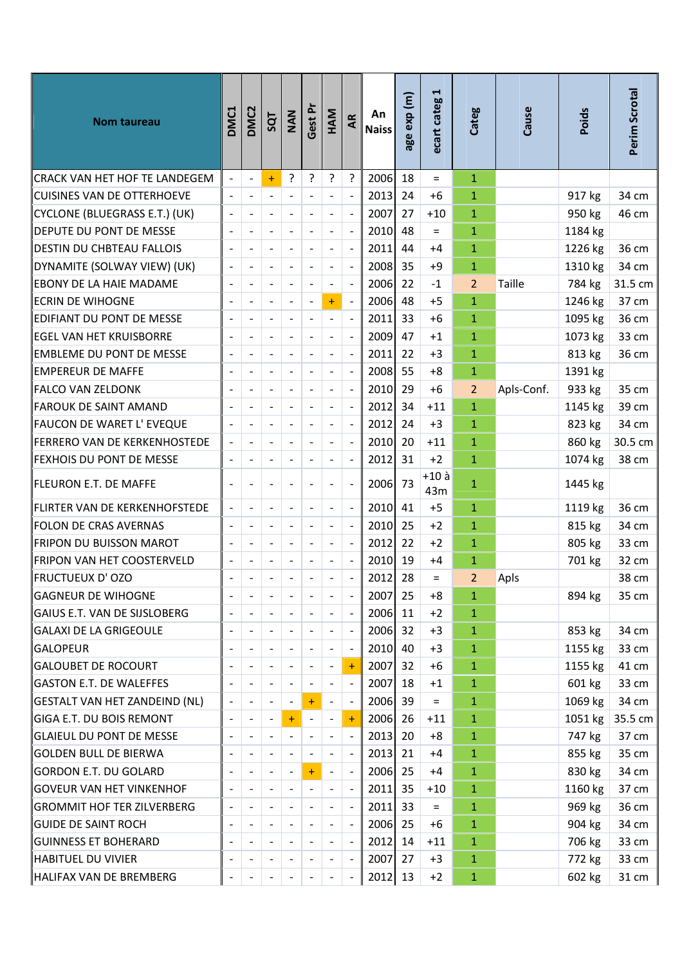| <b>Nom taureau</b>                | DMC1                     | <b>DMC2</b>                  | SQT                      | NAN                          | Gest Pr                      | HAM                      | Æ                        | An<br><b>Naiss</b> | age exp (m) | $\blacktriangleright$<br>ecart categ | Categ          | Cause      | Poids   | Perim Scrotal |
|-----------------------------------|--------------------------|------------------------------|--------------------------|------------------------------|------------------------------|--------------------------|--------------------------|--------------------|-------------|--------------------------------------|----------------|------------|---------|---------------|
| CRACK VAN HET HOF TE LANDEGEM     |                          | $\blacksquare$               | $+$                      | 5.                           | ?                            | ?                        | ?                        | 2006               | 18          | $=$                                  | $\mathbf{1}$   |            |         |               |
| CUISINES VAN DE OTTERHOEVE        | $\overline{\phantom{a}}$ | $\blacksquare$               | $\overline{\phantom{a}}$ | $\blacksquare$               | $\overline{a}$               | $\overline{\phantom{a}}$ | $\overline{\phantom{a}}$ | 2013               | 24          | $+6$                                 | $\mathbf{1}$   |            | 917 kg  | 34 cm         |
| CYCLONE (BLUEGRASS E.T.) (UK)     |                          |                              |                          | $\overline{a}$               |                              |                          | $\overline{\phantom{a}}$ | 2007               | 27          | $+10$                                | $\mathbf{1}$   |            | 950 kg  | 46 cm         |
| DEPUTE DU PONT DE MESSE           |                          | $\overline{a}$               | $\overline{a}$           | $\overline{a}$               | $\overline{a}$               | $\blacksquare$           | $\overline{a}$           | 2010               | 48          | $=$                                  | $\mathbf{1}$   |            | 1184 kg |               |
| <b>DESTIN DU CHBTEAU FALLOIS</b>  |                          |                              |                          | $\overline{a}$               |                              |                          | $\overline{\phantom{a}}$ | 2011               | 44          | +4                                   | 1              |            | 1226 kg | 36 cm         |
| DYNAMITE (SOLWAY VIEW) (UK)       |                          | $\overline{a}$               | $\blacksquare$           | $\blacksquare$               | $\qquad \qquad \blacksquare$ | $\overline{\phantom{a}}$ | $\overline{\phantom{a}}$ | 2008               | 35          | $+9$                                 | $\mathbf{1}$   |            | 1310 kg | 34 cm         |
| EBONY DE LA HAIE MADAME           |                          | $\overline{a}$               |                          | $\qquad \qquad \blacksquare$ | $\overline{\phantom{a}}$     | $\overline{\phantom{a}}$ | $\ddot{\phantom{a}}$     | 2006               | 22          | $-1$                                 | $\overline{2}$ | Taille     | 784 kg  | 31.5 cm       |
| <b>ECRIN DE WIHOGNE</b>           |                          |                              | $\overline{a}$           | $\frac{1}{2}$                | $\qquad \qquad \blacksquare$ | $\ddot{}$                | $\overline{\phantom{a}}$ | 2006               | 48          | $+5$                                 | $\mathbf{1}$   |            | 1246 kg | 37 cm         |
| EDIFIANT DU PONT DE MESSE         |                          | $\overline{a}$               |                          | $\overline{\phantom{a}}$     | $\frac{1}{2}$                | $\overline{\phantom{a}}$ | $\overline{\phantom{a}}$ | 2011               | 33          | $+6$                                 | $\mathbf{1}$   |            | 1095 kg | 36 cm         |
| <b>EGEL VAN HET KRUISBORRE</b>    |                          | $\overline{a}$               | $\overline{a}$           | $\overline{a}$               | $\overline{a}$               | $\overline{\phantom{a}}$ | $\overline{a}$           | 2009               | 47          | $+1$                                 | $\mathbf{1}$   |            | 1073 kg | 33 cm         |
| <b>EMBLEME DU PONT DE MESSE</b>   |                          | $\qquad \qquad \blacksquare$ | $\overline{\phantom{a}}$ | $\blacksquare$               | $\qquad \qquad \blacksquare$ | $\overline{\phantom{a}}$ | $\frac{1}{2}$            | 2011               | 22          | $+3$                                 | $\mathbf{1}$   |            | 813 kg  | 36 cm         |
| <b>EMPEREUR DE MAFFE</b>          |                          |                              |                          |                              |                              |                          | $\overline{\phantom{a}}$ | 2008               | 55          | $+8$                                 | $\mathbf{1}$   |            | 1391 kg |               |
| FALCO VAN ZELDONK                 |                          |                              | $\overline{a}$           | $\overline{a}$               | $\overline{a}$               | $\blacksquare$           | $\overline{a}$           | 2010               | 29          | $+6$                                 | $\overline{2}$ | Apls-Conf. | 933 kg  | 35 cm         |
| <b>FAROUK DE SAINT AMAND</b>      |                          | $\overline{a}$               |                          | $\overline{a}$               | $\overline{a}$               |                          | $\blacksquare$           | 2012               | 34          | $+11$                                | $\mathbf{1}$   |            | 1145 kg | 39 cm         |
| FAUCON DE WARET L' EVEQUE         |                          | $\overline{a}$               | $\blacksquare$           | $\blacksquare$               | $\frac{1}{2}$                | $\overline{\phantom{a}}$ | $\overline{\phantom{a}}$ | 2012               | 24          | $+3$                                 | $\mathbf{1}$   |            | 823 kg  | 34 cm         |
| FERRERO VAN DE KERKENHOSTEDE      |                          | $\overline{a}$               |                          | $\frac{1}{2}$                | $\overline{a}$               | $\overline{\phantom{a}}$ | $\overline{\phantom{a}}$ | 2010               | 20          | $+11$                                | $\mathbf{1}$   |            | 860 kg  | 30.5 cm       |
| FEXHOIS DU PONT DE MESSE          |                          |                              |                          | $\overline{a}$               | $\overline{a}$               | $\overline{\phantom{0}}$ | $\overline{a}$           | 2012               | 31          | $+2$                                 | $\mathbf{1}$   |            | 1074 kg | 38 cm         |
| FLEURON E.T. DE MAFFE             |                          |                              |                          | $\overline{a}$               | $\overline{a}$               |                          | $\overline{\phantom{a}}$ | 2006               | 73          | $+10$ à<br>43m                       | $\mathbf{1}$   |            | 1445 kg |               |
| FLIRTER VAN DE KERKENHOFSTEDE     |                          | $\overline{a}$               | $\overline{\phantom{a}}$ | $\Box$                       | $\frac{1}{2}$                | $\overline{\phantom{a}}$ | $\overline{\phantom{a}}$ | 2010               | 41          | $+5$                                 | $\mathbf{1}$   |            | 1119 kg | 36 cm         |
| FOLON DE CRAS AVERNAS             |                          | $\overline{a}$               | $\overline{\phantom{a}}$ | $\overline{\phantom{a}}$     | $\frac{1}{2}$                | $\overline{\phantom{a}}$ | $\overline{\phantom{a}}$ | 2010               | 25          | $+2$                                 | $\mathbf{1}$   |            | 815 kg  | 34 cm         |
| FRIPON DU BUISSON MAROT           |                          | $\overline{a}$               | $\overline{\phantom{a}}$ | $\frac{1}{2}$                | $\frac{1}{2}$                | $\overline{\phantom{a}}$ | $\overline{a}$           | 2012               | 22          | $+2$                                 | $\mathbf{1}$   |            | 805 kg  | 33 cm         |
| FRIPON VAN HET COOSTERVELD        |                          | $\qquad \qquad \blacksquare$ |                          | $\overline{a}$               | $\qquad \qquad \blacksquare$ | $\overline{\phantom{a}}$ | $\overline{\phantom{a}}$ | 2010               | 19          | $+4$                                 | 1              |            | 701 kg  | 32 cm         |
| FRUCTUEUX D'OZO                   |                          |                              |                          |                              | $\overline{\phantom{a}}$     |                          | $\overline{a}$           | 2012               | 28          | $=$                                  | $\overline{2}$ | Apls       |         | 38 cm         |
| GAGNEUR DE WIHOGNE                |                          | $\overline{\phantom{a}}$     | $\overline{\phantom{a}}$ | $\overline{\phantom{a}}$     | $\overline{\phantom{a}}$     | $\blacksquare$           | $\blacksquare$           | 2007               | 25          | +8                                   | $\mathbf{1}$   |            | 894 kg  | 35 cm         |
| GAIUS E.T. VAN DE SIJSLOBERG      |                          |                              |                          | $\overline{a}$               |                              |                          | $\blacksquare$           | 2006               | 11          | $+2$                                 | 1              |            |         |               |
| <b>GALAXI DE LA GRIGEOULE</b>     |                          | $\overline{a}$               |                          | $\qquad \qquad \blacksquare$ |                              |                          | $\blacksquare$           | 2006               | 32          | $+3$                                 | $\mathbf{1}$   |            | 853 kg  | 34 cm         |
| <b>GALOPEUR</b>                   |                          | $\qquad \qquad \blacksquare$ | $\overline{a}$           | $\overline{\phantom{a}}$     | $\overline{\phantom{a}}$     | $\overline{\phantom{a}}$ | $\overline{\phantom{a}}$ | 2010               | 40          | $+3$                                 | $\mathbf{1}$   |            | 1155 kg | 33 cm         |
| GALOUBET DE ROCOURT               |                          | $\overline{a}$               |                          | $\qquad \qquad \blacksquare$ | -                            |                          | $+$                      | 2007               | 32          | $+6$                                 | $\mathbf{1}$   |            | 1155 kg | 41 cm         |
| GASTON E.T. DE WALEFFES           |                          | $\qquad \qquad \blacksquare$ | $\overline{\phantom{a}}$ | $\overline{\phantom{a}}$     | $\overline{a}$               | $\overline{\phantom{a}}$ | $\blacksquare$           | 2007               | 18          | $+1$                                 | $\mathbf{1}$   |            | 601 kg  | 33 cm         |
| GESTALT VAN HET ZANDEIND (NL)     |                          | $\blacksquare$               | $\overline{a}$           | $\overline{a}$               | $\ddot{}$                    | $\overline{\phantom{a}}$ | $\blacksquare$           | 2006               | 39          | $\quad \  \  =$                      | $\mathbf{1}$   |            | 1069 kg | 34 cm         |
| ∥GIGA E.T. DU BOIS REMONT         |                          | $\qquad \qquad \blacksquare$ | $\overline{\phantom{a}}$ | $+$                          | $\overline{\phantom{0}}$     | $\blacksquare$           | $\pm$                    | 2006               | 26          | $+11$                                | $\mathbf{1}$   |            | 1051 kg | 35.5 cm       |
| <b>GLAIEUL DU PONT DE MESSE</b>   |                          | $\qquad \qquad$              |                          | $\overline{\phantom{a}}$     | $\overline{a}$               |                          | $\overline{\phantom{a}}$ | 2013               | 20          | $+8$                                 | $\mathbf{1}$   |            | 747 kg  | 37 cm         |
| ∥GOLDEN BULL DE BIERWA            |                          | $\blacksquare$               | $\overline{\phantom{a}}$ | $\overline{\phantom{a}}$     | $\blacksquare$               | $\blacksquare$           | $\blacksquare$           | 2013               | 21          | $+4$                                 | $\mathbf{1}$   |            | 855 kg  | 35 cm         |
| GORDON E.T. DU GOLARD             |                          | -                            |                          | $\overline{a}$               | $\ddot{}$                    | $\overline{\phantom{a}}$ | $\blacksquare$           | 2006               | 25          | $+4$                                 | $\mathbf{1}$   |            | 830 kg  | 34 cm         |
| GOVEUR VAN HET VINKENHOF          |                          | $\overline{a}$               |                          | $\qquad \qquad \blacksquare$ |                              | $\overline{\phantom{a}}$ | $\blacksquare$           | 2011               | 35          | $+10$                                | $\mathbf{1}$   |            | 1160 kg | 37 cm         |
| <b>GROMMIT HOF TER ZILVERBERG</b> |                          | $\qquad \qquad \blacksquare$ | $\overline{a}$           | $\overline{\phantom{a}}$     | $\overline{\phantom{a}}$     | $\overline{\phantom{a}}$ | $\overline{\phantom{a}}$ | 2011               | 33          | $=$                                  | $\mathbf{1}$   |            | 969 kg  | 36 cm         |
| GUIDE DE SAINT ROCH               |                          | $\blacksquare$               | $\overline{a}$           | $\qquad \qquad \blacksquare$ | $\overline{a}$               | $\overline{\phantom{a}}$ | $\overline{\phantom{a}}$ | 2006               | 25          | +6                                   | $\mathbf{1}$   |            | 904 kg  | 34 cm         |
| GUINNESS ET BOHERARD              |                          | $\overline{a}$               | $\overline{\phantom{a}}$ | $\overline{\phantom{a}}$     | $\overline{\phantom{a}}$     | $\overline{\phantom{a}}$ | $\overline{\phantom{a}}$ | 2012               | 14          | $+11$                                | $\mathbf{1}$   |            | 706 kg  | 33 cm         |
| HABITUEL DU VIVIER                |                          | $\overline{a}$               |                          | $\overline{\phantom{a}}$     | $\overline{a}$               |                          | $\overline{\phantom{a}}$ | 2007               | 27          | $+3$                                 | $\mathbf{1}$   |            | 772 kg  | 33 cm         |
| HALIFAX VAN DE BREMBERG           |                          | $\overline{\phantom{a}}$     |                          | $\overline{a}$               | $\overline{\phantom{a}}$     |                          | $\blacksquare$           | 2012               | 13          | $+2$                                 | $\mathbf{1}$   |            | 602 kg  | 31 cm         |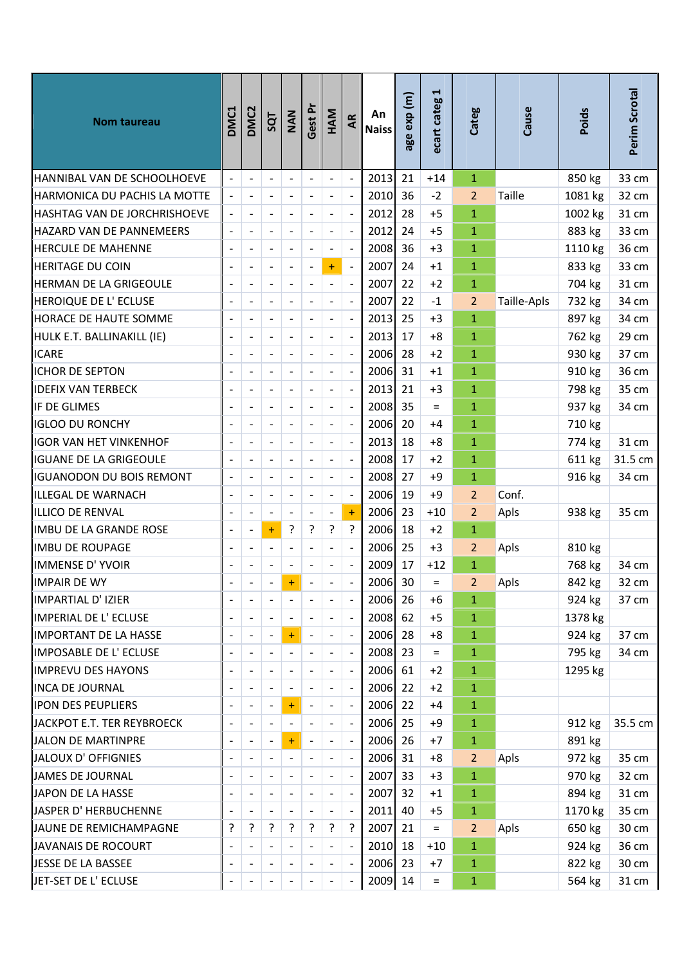| HANNIBAL VAN DE SCHOOLHOEVE<br>2013<br>21<br>850 kg<br>33 cm<br>$+14$<br>$\mathbf{1}$<br>$\overline{\phantom{a}}$<br>$\frac{1}{2}$<br>$\overline{\phantom{a}}$<br>$\overline{a}$<br>$\overline{\phantom{a}}$<br>$\overline{\phantom{a}}$<br>36<br>Taille<br>HARMONICA DU PACHIS LA MOTTE<br>$\overline{a}$<br>2010<br>$-2$<br>$\overline{2}$<br>1081 kg<br>32 cm<br>$\frac{1}{2}$<br>$\overline{a}$<br>$\overline{\phantom{a}}$<br>$\overline{a}$<br>$\blacksquare$<br>2012<br>28<br>$\mathbf{1}$<br>1002 kg<br>31 cm<br>HASHTAG VAN DE JORCHRISHOEVE<br>$+5$<br>$\overline{\phantom{a}}$<br>$\overline{a}$<br>$\overline{a}$<br>$\overline{a}$<br>$\overline{a}$<br>$\overline{\phantom{a}}$<br>2012<br>883 kg<br>33 cm<br>HAZARD VAN DE PANNEMEERS<br>$\ddot{\phantom{a}}$<br>24<br>$+5$<br>$\mathbf{1}$<br>$\blacksquare$<br>$\overline{\phantom{a}}$<br>$\qquad \qquad -$<br>$\overline{\phantom{a}}$<br>$\blacksquare$<br>$\overline{\phantom{a}}$<br>$\overline{a}$<br>36 cm<br>HERCULE DE MAHENNE<br>2008<br>36<br>$+3$<br>$\mathbf{1}$<br>1110 kg<br>$\overline{a}$<br>$\overline{a}$<br>2007<br>33 cm<br>HERITAGE DU COIN<br>$+$<br>24<br>$+1$<br>$\mathbf{1}$<br>833 kg<br>$\blacksquare$<br>$\blacksquare$<br>$\overline{a}$<br>$\qquad \qquad \blacksquare$<br>$\overline{\phantom{a}}$<br>2007<br>$\mathbf{1}$<br>704 kg<br>31 cm<br>HERMAN DE LA GRIGEOULE<br>22<br>$+2$<br>$\ddot{\phantom{a}}$<br>$\blacksquare$<br>$\overline{\phantom{a}}$<br>$\blacksquare$<br>$\overline{\phantom{a}}$<br>HEROIQUE DE L'ECLUSE<br>2007<br>$\overline{2}$<br>732 kg<br>34 cm<br>$\overline{a}$<br>22<br>Taille-Apls<br>$-1$<br>$\Box$<br>$\overline{\phantom{a}}$<br>$\overline{a}$<br>$\overline{a}$<br>$\overline{a}$<br>2013<br><b>HORACE DE HAUTE SOMME</b><br>$\overline{\phantom{a}}$<br>25<br>$+3$<br>$\mathbf{1}$<br>897 kg<br>34 cm<br>$\overline{a}$<br>$\qquad \qquad \blacksquare$<br>$\overline{a}$<br>29 cm<br>2013<br>$\mathbf{1}$<br>762 kg<br>HULK E.T. BALLINAKILL (IE)<br>$\overline{a}$<br>17<br>$+8$<br>$\overline{a}$<br>$\overline{a}$<br>$\overline{a}$<br>$\overline{\phantom{a}}$<br>$\overline{a}$<br>2006<br>28<br>$\mathbf{1}$<br><b>ICARE</b><br>$\overline{\phantom{a}}$<br>$+2$<br>930 kg<br>37 cm<br>$\blacksquare$<br>$\blacksquare$<br>$\overline{\phantom{a}}$<br>$\overline{\phantom{a}}$<br>$\overline{\phantom{a}}$<br><b>ICHOR DE SEPTON</b><br>31<br>$\mathbf{1}$<br>910 kg<br>36 cm<br>$\overline{a}$<br>2006<br>$+1$<br>$\overline{a}$<br>$\overline{a}$<br>2013<br>798 kg<br>35 cm<br><b>IDEFIX VAN TERBECK</b><br>$\overline{a}$<br>21<br>1<br>$+3$<br>$\blacksquare$<br>$\overline{a}$<br>$\overline{\phantom{a}}$<br>$\blacksquare$<br>$\overline{\phantom{a}}$<br>$\overline{a}$<br>IF DE GLIMES<br>2008<br>35<br>$\mathbf{1}$<br>937 kg<br>34 cm<br>$=$<br>2006<br><b>IGLOO DU RONCHY</b><br>20<br>$\mathbf{1}$<br>710 kg<br>$\overline{\phantom{a}}$<br>+4<br>$\frac{1}{2}$<br>$\overline{a}$<br>$\qquad \qquad \blacksquare$<br>$\overline{\phantom{a}}$<br>2013<br>31 cm<br><b>IGOR VAN HET VINKENHOF</b><br>$\overline{a}$<br>18<br>$+8$<br>$\mathbf{1}$<br>774 kg<br>$\blacksquare$<br>$\overline{\phantom{a}}$<br>$\overline{\phantom{0}}$<br>IGUANE DE LA GRIGEOULE<br>2008<br>$\mathbf{1}$<br>611 kg<br>31.5 cm<br>$\overline{a}$<br>17<br>$+2$<br>$\blacksquare$<br>$\overline{a}$<br>$\overline{\phantom{a}}$<br>$\qquad \qquad \blacksquare$<br>$\blacksquare$<br>2008<br>$\mathbf{1}$<br>IGUANODON DU BOIS REMONT<br>27<br>$+9$<br>916 kg<br>34 cm<br>$\overline{\phantom{a}}$<br>$\qquad \qquad \blacksquare$<br>$\overline{a}$<br>$\overline{a}$<br>$\overline{a}$<br>$\overline{\phantom{a}}$<br>2006<br>$\overline{2}$<br>Conf.<br>ILLEGAL DE WARNACH<br>19<br>$+9$<br>$\overline{a}$<br>$\overline{a}$<br>$\overline{a}$<br>$\blacksquare$<br>$\overline{a}$<br>ILLICO DE RENVAL<br>2006<br>23<br>2<br>Apls<br>938 kg<br>35 cm<br>$\ddot{}$<br>$+10$<br>$\blacksquare$<br>$\overline{a}$<br>$\blacksquare$<br>$\overline{\phantom{a}}$<br>L,<br>?<br>5.<br>?<br>$\overline{1}$<br>?<br>2006<br>18<br>IMBU DE LA GRANDE ROSE<br>$+2$<br>$\ddot{}$<br>$\overline{a}$ |
|-----------------------------------------------------------------------------------------------------------------------------------------------------------------------------------------------------------------------------------------------------------------------------------------------------------------------------------------------------------------------------------------------------------------------------------------------------------------------------------------------------------------------------------------------------------------------------------------------------------------------------------------------------------------------------------------------------------------------------------------------------------------------------------------------------------------------------------------------------------------------------------------------------------------------------------------------------------------------------------------------------------------------------------------------------------------------------------------------------------------------------------------------------------------------------------------------------------------------------------------------------------------------------------------------------------------------------------------------------------------------------------------------------------------------------------------------------------------------------------------------------------------------------------------------------------------------------------------------------------------------------------------------------------------------------------------------------------------------------------------------------------------------------------------------------------------------------------------------------------------------------------------------------------------------------------------------------------------------------------------------------------------------------------------------------------------------------------------------------------------------------------------------------------------------------------------------------------------------------------------------------------------------------------------------------------------------------------------------------------------------------------------------------------------------------------------------------------------------------------------------------------------------------------------------------------------------------------------------------------------------------------------------------------------------------------------------------------------------------------------------------------------------------------------------------------------------------------------------------------------------------------------------------------------------------------------------------------------------------------------------------------------------------------------------------------------------------------------------------------------------------------------------------------------------------------------------------------------------------------------------------------------------------------------------------------------------------------------------------------------------------------------------------------------------------------------------------------------------------------------------------------------------------------------------------------------------------------------------------------------------------------------------------------------------------------------------------------------------------------------------------------------------------------------------------------------------------------------------------------------------------------------------------------------------------------------------------------------------------------------------------------------------------------------------------------------------------------------------------------------------------------------|
|                                                                                                                                                                                                                                                                                                                                                                                                                                                                                                                                                                                                                                                                                                                                                                                                                                                                                                                                                                                                                                                                                                                                                                                                                                                                                                                                                                                                                                                                                                                                                                                                                                                                                                                                                                                                                                                                                                                                                                                                                                                                                                                                                                                                                                                                                                                                                                                                                                                                                                                                                                                                                                                                                                                                                                                                                                                                                                                                                                                                                                                                                                                                                                                                                                                                                                                                                                                                                                                                                                                                                                                                                                                                                                                                                                                                                                                                                                                                                                                                                                                                                                                                         |
|                                                                                                                                                                                                                                                                                                                                                                                                                                                                                                                                                                                                                                                                                                                                                                                                                                                                                                                                                                                                                                                                                                                                                                                                                                                                                                                                                                                                                                                                                                                                                                                                                                                                                                                                                                                                                                                                                                                                                                                                                                                                                                                                                                                                                                                                                                                                                                                                                                                                                                                                                                                                                                                                                                                                                                                                                                                                                                                                                                                                                                                                                                                                                                                                                                                                                                                                                                                                                                                                                                                                                                                                                                                                                                                                                                                                                                                                                                                                                                                                                                                                                                                                         |
|                                                                                                                                                                                                                                                                                                                                                                                                                                                                                                                                                                                                                                                                                                                                                                                                                                                                                                                                                                                                                                                                                                                                                                                                                                                                                                                                                                                                                                                                                                                                                                                                                                                                                                                                                                                                                                                                                                                                                                                                                                                                                                                                                                                                                                                                                                                                                                                                                                                                                                                                                                                                                                                                                                                                                                                                                                                                                                                                                                                                                                                                                                                                                                                                                                                                                                                                                                                                                                                                                                                                                                                                                                                                                                                                                                                                                                                                                                                                                                                                                                                                                                                                         |
|                                                                                                                                                                                                                                                                                                                                                                                                                                                                                                                                                                                                                                                                                                                                                                                                                                                                                                                                                                                                                                                                                                                                                                                                                                                                                                                                                                                                                                                                                                                                                                                                                                                                                                                                                                                                                                                                                                                                                                                                                                                                                                                                                                                                                                                                                                                                                                                                                                                                                                                                                                                                                                                                                                                                                                                                                                                                                                                                                                                                                                                                                                                                                                                                                                                                                                                                                                                                                                                                                                                                                                                                                                                                                                                                                                                                                                                                                                                                                                                                                                                                                                                                         |
|                                                                                                                                                                                                                                                                                                                                                                                                                                                                                                                                                                                                                                                                                                                                                                                                                                                                                                                                                                                                                                                                                                                                                                                                                                                                                                                                                                                                                                                                                                                                                                                                                                                                                                                                                                                                                                                                                                                                                                                                                                                                                                                                                                                                                                                                                                                                                                                                                                                                                                                                                                                                                                                                                                                                                                                                                                                                                                                                                                                                                                                                                                                                                                                                                                                                                                                                                                                                                                                                                                                                                                                                                                                                                                                                                                                                                                                                                                                                                                                                                                                                                                                                         |
|                                                                                                                                                                                                                                                                                                                                                                                                                                                                                                                                                                                                                                                                                                                                                                                                                                                                                                                                                                                                                                                                                                                                                                                                                                                                                                                                                                                                                                                                                                                                                                                                                                                                                                                                                                                                                                                                                                                                                                                                                                                                                                                                                                                                                                                                                                                                                                                                                                                                                                                                                                                                                                                                                                                                                                                                                                                                                                                                                                                                                                                                                                                                                                                                                                                                                                                                                                                                                                                                                                                                                                                                                                                                                                                                                                                                                                                                                                                                                                                                                                                                                                                                         |
|                                                                                                                                                                                                                                                                                                                                                                                                                                                                                                                                                                                                                                                                                                                                                                                                                                                                                                                                                                                                                                                                                                                                                                                                                                                                                                                                                                                                                                                                                                                                                                                                                                                                                                                                                                                                                                                                                                                                                                                                                                                                                                                                                                                                                                                                                                                                                                                                                                                                                                                                                                                                                                                                                                                                                                                                                                                                                                                                                                                                                                                                                                                                                                                                                                                                                                                                                                                                                                                                                                                                                                                                                                                                                                                                                                                                                                                                                                                                                                                                                                                                                                                                         |
|                                                                                                                                                                                                                                                                                                                                                                                                                                                                                                                                                                                                                                                                                                                                                                                                                                                                                                                                                                                                                                                                                                                                                                                                                                                                                                                                                                                                                                                                                                                                                                                                                                                                                                                                                                                                                                                                                                                                                                                                                                                                                                                                                                                                                                                                                                                                                                                                                                                                                                                                                                                                                                                                                                                                                                                                                                                                                                                                                                                                                                                                                                                                                                                                                                                                                                                                                                                                                                                                                                                                                                                                                                                                                                                                                                                                                                                                                                                                                                                                                                                                                                                                         |
|                                                                                                                                                                                                                                                                                                                                                                                                                                                                                                                                                                                                                                                                                                                                                                                                                                                                                                                                                                                                                                                                                                                                                                                                                                                                                                                                                                                                                                                                                                                                                                                                                                                                                                                                                                                                                                                                                                                                                                                                                                                                                                                                                                                                                                                                                                                                                                                                                                                                                                                                                                                                                                                                                                                                                                                                                                                                                                                                                                                                                                                                                                                                                                                                                                                                                                                                                                                                                                                                                                                                                                                                                                                                                                                                                                                                                                                                                                                                                                                                                                                                                                                                         |
|                                                                                                                                                                                                                                                                                                                                                                                                                                                                                                                                                                                                                                                                                                                                                                                                                                                                                                                                                                                                                                                                                                                                                                                                                                                                                                                                                                                                                                                                                                                                                                                                                                                                                                                                                                                                                                                                                                                                                                                                                                                                                                                                                                                                                                                                                                                                                                                                                                                                                                                                                                                                                                                                                                                                                                                                                                                                                                                                                                                                                                                                                                                                                                                                                                                                                                                                                                                                                                                                                                                                                                                                                                                                                                                                                                                                                                                                                                                                                                                                                                                                                                                                         |
|                                                                                                                                                                                                                                                                                                                                                                                                                                                                                                                                                                                                                                                                                                                                                                                                                                                                                                                                                                                                                                                                                                                                                                                                                                                                                                                                                                                                                                                                                                                                                                                                                                                                                                                                                                                                                                                                                                                                                                                                                                                                                                                                                                                                                                                                                                                                                                                                                                                                                                                                                                                                                                                                                                                                                                                                                                                                                                                                                                                                                                                                                                                                                                                                                                                                                                                                                                                                                                                                                                                                                                                                                                                                                                                                                                                                                                                                                                                                                                                                                                                                                                                                         |
|                                                                                                                                                                                                                                                                                                                                                                                                                                                                                                                                                                                                                                                                                                                                                                                                                                                                                                                                                                                                                                                                                                                                                                                                                                                                                                                                                                                                                                                                                                                                                                                                                                                                                                                                                                                                                                                                                                                                                                                                                                                                                                                                                                                                                                                                                                                                                                                                                                                                                                                                                                                                                                                                                                                                                                                                                                                                                                                                                                                                                                                                                                                                                                                                                                                                                                                                                                                                                                                                                                                                                                                                                                                                                                                                                                                                                                                                                                                                                                                                                                                                                                                                         |
|                                                                                                                                                                                                                                                                                                                                                                                                                                                                                                                                                                                                                                                                                                                                                                                                                                                                                                                                                                                                                                                                                                                                                                                                                                                                                                                                                                                                                                                                                                                                                                                                                                                                                                                                                                                                                                                                                                                                                                                                                                                                                                                                                                                                                                                                                                                                                                                                                                                                                                                                                                                                                                                                                                                                                                                                                                                                                                                                                                                                                                                                                                                                                                                                                                                                                                                                                                                                                                                                                                                                                                                                                                                                                                                                                                                                                                                                                                                                                                                                                                                                                                                                         |
|                                                                                                                                                                                                                                                                                                                                                                                                                                                                                                                                                                                                                                                                                                                                                                                                                                                                                                                                                                                                                                                                                                                                                                                                                                                                                                                                                                                                                                                                                                                                                                                                                                                                                                                                                                                                                                                                                                                                                                                                                                                                                                                                                                                                                                                                                                                                                                                                                                                                                                                                                                                                                                                                                                                                                                                                                                                                                                                                                                                                                                                                                                                                                                                                                                                                                                                                                                                                                                                                                                                                                                                                                                                                                                                                                                                                                                                                                                                                                                                                                                                                                                                                         |
|                                                                                                                                                                                                                                                                                                                                                                                                                                                                                                                                                                                                                                                                                                                                                                                                                                                                                                                                                                                                                                                                                                                                                                                                                                                                                                                                                                                                                                                                                                                                                                                                                                                                                                                                                                                                                                                                                                                                                                                                                                                                                                                                                                                                                                                                                                                                                                                                                                                                                                                                                                                                                                                                                                                                                                                                                                                                                                                                                                                                                                                                                                                                                                                                                                                                                                                                                                                                                                                                                                                                                                                                                                                                                                                                                                                                                                                                                                                                                                                                                                                                                                                                         |
|                                                                                                                                                                                                                                                                                                                                                                                                                                                                                                                                                                                                                                                                                                                                                                                                                                                                                                                                                                                                                                                                                                                                                                                                                                                                                                                                                                                                                                                                                                                                                                                                                                                                                                                                                                                                                                                                                                                                                                                                                                                                                                                                                                                                                                                                                                                                                                                                                                                                                                                                                                                                                                                                                                                                                                                                                                                                                                                                                                                                                                                                                                                                                                                                                                                                                                                                                                                                                                                                                                                                                                                                                                                                                                                                                                                                                                                                                                                                                                                                                                                                                                                                         |
|                                                                                                                                                                                                                                                                                                                                                                                                                                                                                                                                                                                                                                                                                                                                                                                                                                                                                                                                                                                                                                                                                                                                                                                                                                                                                                                                                                                                                                                                                                                                                                                                                                                                                                                                                                                                                                                                                                                                                                                                                                                                                                                                                                                                                                                                                                                                                                                                                                                                                                                                                                                                                                                                                                                                                                                                                                                                                                                                                                                                                                                                                                                                                                                                                                                                                                                                                                                                                                                                                                                                                                                                                                                                                                                                                                                                                                                                                                                                                                                                                                                                                                                                         |
|                                                                                                                                                                                                                                                                                                                                                                                                                                                                                                                                                                                                                                                                                                                                                                                                                                                                                                                                                                                                                                                                                                                                                                                                                                                                                                                                                                                                                                                                                                                                                                                                                                                                                                                                                                                                                                                                                                                                                                                                                                                                                                                                                                                                                                                                                                                                                                                                                                                                                                                                                                                                                                                                                                                                                                                                                                                                                                                                                                                                                                                                                                                                                                                                                                                                                                                                                                                                                                                                                                                                                                                                                                                                                                                                                                                                                                                                                                                                                                                                                                                                                                                                         |
|                                                                                                                                                                                                                                                                                                                                                                                                                                                                                                                                                                                                                                                                                                                                                                                                                                                                                                                                                                                                                                                                                                                                                                                                                                                                                                                                                                                                                                                                                                                                                                                                                                                                                                                                                                                                                                                                                                                                                                                                                                                                                                                                                                                                                                                                                                                                                                                                                                                                                                                                                                                                                                                                                                                                                                                                                                                                                                                                                                                                                                                                                                                                                                                                                                                                                                                                                                                                                                                                                                                                                                                                                                                                                                                                                                                                                                                                                                                                                                                                                                                                                                                                         |
|                                                                                                                                                                                                                                                                                                                                                                                                                                                                                                                                                                                                                                                                                                                                                                                                                                                                                                                                                                                                                                                                                                                                                                                                                                                                                                                                                                                                                                                                                                                                                                                                                                                                                                                                                                                                                                                                                                                                                                                                                                                                                                                                                                                                                                                                                                                                                                                                                                                                                                                                                                                                                                                                                                                                                                                                                                                                                                                                                                                                                                                                                                                                                                                                                                                                                                                                                                                                                                                                                                                                                                                                                                                                                                                                                                                                                                                                                                                                                                                                                                                                                                                                         |
|                                                                                                                                                                                                                                                                                                                                                                                                                                                                                                                                                                                                                                                                                                                                                                                                                                                                                                                                                                                                                                                                                                                                                                                                                                                                                                                                                                                                                                                                                                                                                                                                                                                                                                                                                                                                                                                                                                                                                                                                                                                                                                                                                                                                                                                                                                                                                                                                                                                                                                                                                                                                                                                                                                                                                                                                                                                                                                                                                                                                                                                                                                                                                                                                                                                                                                                                                                                                                                                                                                                                                                                                                                                                                                                                                                                                                                                                                                                                                                                                                                                                                                                                         |
| IMBU DE ROUPAGE<br>2006<br>25<br>$\overline{2}$<br>810 kg<br>$\overline{\phantom{a}}$<br>$+3$<br>Apls<br>$\overline{\phantom{a}}$<br>$\blacksquare$<br>$\qquad \qquad \blacksquare$<br>$\overline{\phantom{a}}$<br>$\overline{\phantom{a}}$                                                                                                                                                                                                                                                                                                                                                                                                                                                                                                                                                                                                                                                                                                                                                                                                                                                                                                                                                                                                                                                                                                                                                                                                                                                                                                                                                                                                                                                                                                                                                                                                                                                                                                                                                                                                                                                                                                                                                                                                                                                                                                                                                                                                                                                                                                                                                                                                                                                                                                                                                                                                                                                                                                                                                                                                                                                                                                                                                                                                                                                                                                                                                                                                                                                                                                                                                                                                                                                                                                                                                                                                                                                                                                                                                                                                                                                                                             |
| $\overline{a}$<br>IMMENSE D'YVOIR<br>2009<br>17<br>$\mathbf{1}$<br>768 kg<br>$+12$<br>34 cm                                                                                                                                                                                                                                                                                                                                                                                                                                                                                                                                                                                                                                                                                                                                                                                                                                                                                                                                                                                                                                                                                                                                                                                                                                                                                                                                                                                                                                                                                                                                                                                                                                                                                                                                                                                                                                                                                                                                                                                                                                                                                                                                                                                                                                                                                                                                                                                                                                                                                                                                                                                                                                                                                                                                                                                                                                                                                                                                                                                                                                                                                                                                                                                                                                                                                                                                                                                                                                                                                                                                                                                                                                                                                                                                                                                                                                                                                                                                                                                                                                             |
| 2006<br>30<br><b>IMPAIR DE WY</b><br>842 kg<br>32 cm<br>Ŧ<br>2<br>Apls<br>$=$                                                                                                                                                                                                                                                                                                                                                                                                                                                                                                                                                                                                                                                                                                                                                                                                                                                                                                                                                                                                                                                                                                                                                                                                                                                                                                                                                                                                                                                                                                                                                                                                                                                                                                                                                                                                                                                                                                                                                                                                                                                                                                                                                                                                                                                                                                                                                                                                                                                                                                                                                                                                                                                                                                                                                                                                                                                                                                                                                                                                                                                                                                                                                                                                                                                                                                                                                                                                                                                                                                                                                                                                                                                                                                                                                                                                                                                                                                                                                                                                                                                           |
| 2006 26<br>924 kg<br> IMPARTIAL D' IZIER<br>37 cm<br>$\blacksquare$<br>+6<br>1<br>$\overline{\phantom{a}}$                                                                                                                                                                                                                                                                                                                                                                                                                                                                                                                                                                                                                                                                                                                                                                                                                                                                                                                                                                                                                                                                                                                                                                                                                                                                                                                                                                                                                                                                                                                                                                                                                                                                                                                                                                                                                                                                                                                                                                                                                                                                                                                                                                                                                                                                                                                                                                                                                                                                                                                                                                                                                                                                                                                                                                                                                                                                                                                                                                                                                                                                                                                                                                                                                                                                                                                                                                                                                                                                                                                                                                                                                                                                                                                                                                                                                                                                                                                                                                                                                              |
| IMPERIAL DE L'ECLUSE<br>2008<br>62<br>$\mathbf{1}$<br>1378 kg<br>$\overline{\phantom{a}}$<br>$+5$<br>$\overline{\phantom{a}}$<br>$\blacksquare$<br>$\blacksquare$                                                                                                                                                                                                                                                                                                                                                                                                                                                                                                                                                                                                                                                                                                                                                                                                                                                                                                                                                                                                                                                                                                                                                                                                                                                                                                                                                                                                                                                                                                                                                                                                                                                                                                                                                                                                                                                                                                                                                                                                                                                                                                                                                                                                                                                                                                                                                                                                                                                                                                                                                                                                                                                                                                                                                                                                                                                                                                                                                                                                                                                                                                                                                                                                                                                                                                                                                                                                                                                                                                                                                                                                                                                                                                                                                                                                                                                                                                                                                                       |
| IMPORTANT DE LA HASSE<br>2006<br>28<br>$\mathbf{1}$<br>924 kg<br>37 cm<br>$+8$<br>$\ddot{}$<br>$\overline{\phantom{a}}$<br>$\qquad \qquad \blacksquare$                                                                                                                                                                                                                                                                                                                                                                                                                                                                                                                                                                                                                                                                                                                                                                                                                                                                                                                                                                                                                                                                                                                                                                                                                                                                                                                                                                                                                                                                                                                                                                                                                                                                                                                                                                                                                                                                                                                                                                                                                                                                                                                                                                                                                                                                                                                                                                                                                                                                                                                                                                                                                                                                                                                                                                                                                                                                                                                                                                                                                                                                                                                                                                                                                                                                                                                                                                                                                                                                                                                                                                                                                                                                                                                                                                                                                                                                                                                                                                                 |
| 795 kg<br>34 cm<br>IMPOSABLE DE L'ECLUSE<br>2008<br>23<br>$\mathbf{1}$<br>$\blacksquare$<br>$=$                                                                                                                                                                                                                                                                                                                                                                                                                                                                                                                                                                                                                                                                                                                                                                                                                                                                                                                                                                                                                                                                                                                                                                                                                                                                                                                                                                                                                                                                                                                                                                                                                                                                                                                                                                                                                                                                                                                                                                                                                                                                                                                                                                                                                                                                                                                                                                                                                                                                                                                                                                                                                                                                                                                                                                                                                                                                                                                                                                                                                                                                                                                                                                                                                                                                                                                                                                                                                                                                                                                                                                                                                                                                                                                                                                                                                                                                                                                                                                                                                                         |
| IMPREVU DES HAYONS<br>2006<br>61<br>$+2$<br>$\mathbf{1}$<br>1295 kg<br>$\overline{\phantom{a}}$<br>$\overline{\phantom{a}}$<br>$\qquad \qquad \blacksquare$                                                                                                                                                                                                                                                                                                                                                                                                                                                                                                                                                                                                                                                                                                                                                                                                                                                                                                                                                                                                                                                                                                                                                                                                                                                                                                                                                                                                                                                                                                                                                                                                                                                                                                                                                                                                                                                                                                                                                                                                                                                                                                                                                                                                                                                                                                                                                                                                                                                                                                                                                                                                                                                                                                                                                                                                                                                                                                                                                                                                                                                                                                                                                                                                                                                                                                                                                                                                                                                                                                                                                                                                                                                                                                                                                                                                                                                                                                                                                                             |
| INCA DE JOURNAL<br>2006<br>$\mathbf{1}$<br>22<br>$+2$<br>$\blacksquare$<br>$\overline{a}$                                                                                                                                                                                                                                                                                                                                                                                                                                                                                                                                                                                                                                                                                                                                                                                                                                                                                                                                                                                                                                                                                                                                                                                                                                                                                                                                                                                                                                                                                                                                                                                                                                                                                                                                                                                                                                                                                                                                                                                                                                                                                                                                                                                                                                                                                                                                                                                                                                                                                                                                                                                                                                                                                                                                                                                                                                                                                                                                                                                                                                                                                                                                                                                                                                                                                                                                                                                                                                                                                                                                                                                                                                                                                                                                                                                                                                                                                                                                                                                                                                               |
| <b>IPON DES PEUPLIERS</b><br>2006<br>22<br>$\mathbf{1}$<br>$+4$<br>$\ddot{}$<br>$\overline{\phantom{a}}$<br>$\overline{a}$<br>$\qquad \qquad \blacksquare$                                                                                                                                                                                                                                                                                                                                                                                                                                                                                                                                                                                                                                                                                                                                                                                                                                                                                                                                                                                                                                                                                                                                                                                                                                                                                                                                                                                                                                                                                                                                                                                                                                                                                                                                                                                                                                                                                                                                                                                                                                                                                                                                                                                                                                                                                                                                                                                                                                                                                                                                                                                                                                                                                                                                                                                                                                                                                                                                                                                                                                                                                                                                                                                                                                                                                                                                                                                                                                                                                                                                                                                                                                                                                                                                                                                                                                                                                                                                                                              |
| JACKPOT E.T. TER REYBROECK<br>2006 25<br>$\mathbf{1}$<br>912 kg<br>35.5 cm<br>$+9$<br>$\overline{\phantom{a}}$                                                                                                                                                                                                                                                                                                                                                                                                                                                                                                                                                                                                                                                                                                                                                                                                                                                                                                                                                                                                                                                                                                                                                                                                                                                                                                                                                                                                                                                                                                                                                                                                                                                                                                                                                                                                                                                                                                                                                                                                                                                                                                                                                                                                                                                                                                                                                                                                                                                                                                                                                                                                                                                                                                                                                                                                                                                                                                                                                                                                                                                                                                                                                                                                                                                                                                                                                                                                                                                                                                                                                                                                                                                                                                                                                                                                                                                                                                                                                                                                                          |
| JALON DE MARTINPRE<br>2006<br>$\mathbf{1}$<br>891 kg<br>$\ddot{}$<br>-26<br>$\blacksquare$<br>$+7$<br>$\overline{a}$<br>$\overline{a}$                                                                                                                                                                                                                                                                                                                                                                                                                                                                                                                                                                                                                                                                                                                                                                                                                                                                                                                                                                                                                                                                                                                                                                                                                                                                                                                                                                                                                                                                                                                                                                                                                                                                                                                                                                                                                                                                                                                                                                                                                                                                                                                                                                                                                                                                                                                                                                                                                                                                                                                                                                                                                                                                                                                                                                                                                                                                                                                                                                                                                                                                                                                                                                                                                                                                                                                                                                                                                                                                                                                                                                                                                                                                                                                                                                                                                                                                                                                                                                                                  |
| JALOUX D'OFFIGNIES<br>2006 31<br>Apls<br>972 kg<br>35 cm<br>$+8$<br>$\overline{2}$<br>$\overline{\phantom{a}}$                                                                                                                                                                                                                                                                                                                                                                                                                                                                                                                                                                                                                                                                                                                                                                                                                                                                                                                                                                                                                                                                                                                                                                                                                                                                                                                                                                                                                                                                                                                                                                                                                                                                                                                                                                                                                                                                                                                                                                                                                                                                                                                                                                                                                                                                                                                                                                                                                                                                                                                                                                                                                                                                                                                                                                                                                                                                                                                                                                                                                                                                                                                                                                                                                                                                                                                                                                                                                                                                                                                                                                                                                                                                                                                                                                                                                                                                                                                                                                                                                          |
| 32 cm<br>JAMES DE JOURNAL<br>2007<br>970 kg<br>33<br>$+3$<br>$\mathbf{1}$<br>$\blacksquare$<br>$\qquad \qquad \blacksquare$<br>$\overline{a}$                                                                                                                                                                                                                                                                                                                                                                                                                                                                                                                                                                                                                                                                                                                                                                                                                                                                                                                                                                                                                                                                                                                                                                                                                                                                                                                                                                                                                                                                                                                                                                                                                                                                                                                                                                                                                                                                                                                                                                                                                                                                                                                                                                                                                                                                                                                                                                                                                                                                                                                                                                                                                                                                                                                                                                                                                                                                                                                                                                                                                                                                                                                                                                                                                                                                                                                                                                                                                                                                                                                                                                                                                                                                                                                                                                                                                                                                                                                                                                                           |
| JAPON DE LA HASSE<br>2007<br>32<br>894 kg<br>31 cm<br>$+1$<br>$\mathbf{1}$<br>$\overline{\phantom{a}}$<br>$\qquad \qquad \blacksquare$<br>$\qquad \qquad \blacksquare$                                                                                                                                                                                                                                                                                                                                                                                                                                                                                                                                                                                                                                                                                                                                                                                                                                                                                                                                                                                                                                                                                                                                                                                                                                                                                                                                                                                                                                                                                                                                                                                                                                                                                                                                                                                                                                                                                                                                                                                                                                                                                                                                                                                                                                                                                                                                                                                                                                                                                                                                                                                                                                                                                                                                                                                                                                                                                                                                                                                                                                                                                                                                                                                                                                                                                                                                                                                                                                                                                                                                                                                                                                                                                                                                                                                                                                                                                                                                                                  |
| 35 cm<br>JASPER D' HERBUCHENNE<br>2011<br>40<br>$\mathbf{1}$<br>1170 kg<br>$+5$<br>$\overline{\phantom{a}}$                                                                                                                                                                                                                                                                                                                                                                                                                                                                                                                                                                                                                                                                                                                                                                                                                                                                                                                                                                                                                                                                                                                                                                                                                                                                                                                                                                                                                                                                                                                                                                                                                                                                                                                                                                                                                                                                                                                                                                                                                                                                                                                                                                                                                                                                                                                                                                                                                                                                                                                                                                                                                                                                                                                                                                                                                                                                                                                                                                                                                                                                                                                                                                                                                                                                                                                                                                                                                                                                                                                                                                                                                                                                                                                                                                                                                                                                                                                                                                                                                             |
| ?<br>ŗ<br>?<br>?<br>?<br>ŗ<br>30 cm<br>JAUNE DE REMICHAMPAGNE<br>?<br>2007<br>Apls<br>650 kg<br>21<br>$\overline{2}$<br>$=$                                                                                                                                                                                                                                                                                                                                                                                                                                                                                                                                                                                                                                                                                                                                                                                                                                                                                                                                                                                                                                                                                                                                                                                                                                                                                                                                                                                                                                                                                                                                                                                                                                                                                                                                                                                                                                                                                                                                                                                                                                                                                                                                                                                                                                                                                                                                                                                                                                                                                                                                                                                                                                                                                                                                                                                                                                                                                                                                                                                                                                                                                                                                                                                                                                                                                                                                                                                                                                                                                                                                                                                                                                                                                                                                                                                                                                                                                                                                                                                                             |
| 924 kg<br>36 cm<br>JAVANAIS DE ROCOURT<br>2010 18<br>$\mathbf{1}$<br>$+10$<br>$\blacksquare$                                                                                                                                                                                                                                                                                                                                                                                                                                                                                                                                                                                                                                                                                                                                                                                                                                                                                                                                                                                                                                                                                                                                                                                                                                                                                                                                                                                                                                                                                                                                                                                                                                                                                                                                                                                                                                                                                                                                                                                                                                                                                                                                                                                                                                                                                                                                                                                                                                                                                                                                                                                                                                                                                                                                                                                                                                                                                                                                                                                                                                                                                                                                                                                                                                                                                                                                                                                                                                                                                                                                                                                                                                                                                                                                                                                                                                                                                                                                                                                                                                            |
| 30 cm<br><b>JESSE DE LA BASSEE</b><br>2006 23<br>822 kg<br>$+7$<br>$\mathbf{1}$<br>$\blacksquare$                                                                                                                                                                                                                                                                                                                                                                                                                                                                                                                                                                                                                                                                                                                                                                                                                                                                                                                                                                                                                                                                                                                                                                                                                                                                                                                                                                                                                                                                                                                                                                                                                                                                                                                                                                                                                                                                                                                                                                                                                                                                                                                                                                                                                                                                                                                                                                                                                                                                                                                                                                                                                                                                                                                                                                                                                                                                                                                                                                                                                                                                                                                                                                                                                                                                                                                                                                                                                                                                                                                                                                                                                                                                                                                                                                                                                                                                                                                                                                                                                                       |
| JET-SET DE L'ECLUSE<br>31 cm<br>$2009$ 14<br>$\mathbf{1}$<br>564 kg<br>$=$<br>$\overline{\phantom{a}}$                                                                                                                                                                                                                                                                                                                                                                                                                                                                                                                                                                                                                                                                                                                                                                                                                                                                                                                                                                                                                                                                                                                                                                                                                                                                                                                                                                                                                                                                                                                                                                                                                                                                                                                                                                                                                                                                                                                                                                                                                                                                                                                                                                                                                                                                                                                                                                                                                                                                                                                                                                                                                                                                                                                                                                                                                                                                                                                                                                                                                                                                                                                                                                                                                                                                                                                                                                                                                                                                                                                                                                                                                                                                                                                                                                                                                                                                                                                                                                                                                                  |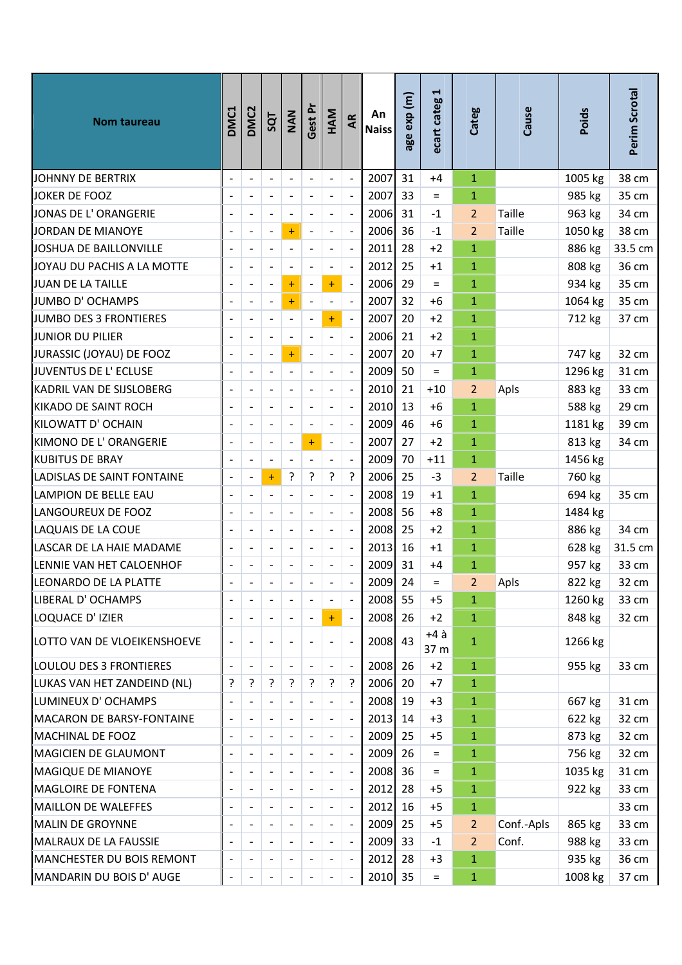| Nom taureau                 | DMC1                     | <b>DMC2</b>                  | 5QT                      | NAN                      | Gest Pr                  | HAM                      | AR                       | An<br><b>Naiss</b> | age exp (m) | ⊣<br>ecart categ | Categ          | Cause         | Poids   | Perim Scrotal |
|-----------------------------|--------------------------|------------------------------|--------------------------|--------------------------|--------------------------|--------------------------|--------------------------|--------------------|-------------|------------------|----------------|---------------|---------|---------------|
| JOHNNY DE BERTRIX           |                          | $\overline{a}$               | $\blacksquare$           | $\overline{\phantom{a}}$ | $\overline{a}$           | $\overline{\phantom{a}}$ | $\blacksquare$           | 2007               | 31          | $+4$             | $\mathbf{1}$   |               | 1005 kg | 38 cm         |
| <b>JOKER DE FOOZ</b>        |                          | $\overline{a}$               |                          | $\overline{\phantom{a}}$ | $\overline{a}$           | $\frac{1}{2}$            | $\overline{\phantom{a}}$ | 2007               | 33          | $=$              | 1              |               | 985 kg  | 35 cm         |
| JONAS DE L'ORANGERIE        |                          | $\qquad \qquad \blacksquare$ |                          | $\overline{a}$           |                          | -                        | $\overline{a}$           | 2006               | 31          | $-1$             | $\overline{2}$ | Taille        | 963 kg  | 34 cm         |
| JORDAN DE MIANOYE           |                          | $\overline{\phantom{a}}$     |                          | $\ddot{}$                | $\overline{a}$           | $\blacksquare$           | $\bar{\mathbb{Z}}$       | 2006               | 36          | $-1$             | $\overline{2}$ | <b>Taille</b> | 1050 kg | 38 cm         |
| JOSHUA DE BAILLONVILLE      |                          |                              |                          | $\blacksquare$           |                          |                          | $\overline{a}$           | 2011               | 28          | $+2$             | $\mathbf{1}$   |               | 886 kg  | 33.5 cm       |
| JOYAU DU PACHIS A LA MOTTE  |                          | $\blacksquare$               | -                        | $\overline{\phantom{a}}$ |                          | $\overline{\phantom{a}}$ | $\overline{\phantom{a}}$ | 2012               | 25          | $+1$             | $\mathbf{1}$   |               | 808 kg  | 36 cm         |
| JUAN DE LA TAILLE           |                          | $\overline{\phantom{a}}$     |                          | $\ddot{}$                | $\overline{\phantom{a}}$ | $\ddot{}$                | $\bar{\phantom{a}}$      | 2006 29            |             | $=$              | $\mathbf{1}$   |               | 934 kg  | 35 cm         |
| JUMBO D'OCHAMPS             |                          | $\frac{1}{2}$                | -                        | $\ddot{}$                | $\overline{a}$           | $\frac{1}{2}$            | $\Box$                   | 2007               | 32          | $+6$             | $\mathbf{1}$   |               | 1064 kg | 35 cm         |
| JUMBO DES 3 FRONTIERES      |                          | $\blacksquare$               |                          | $\overline{\phantom{a}}$ |                          | $+$                      |                          | 2007               | 20          | $+2$             | $\mathbf{1}$   |               | 712 kg  | 37 cm         |
| JUNIOR DU PILIER            |                          | $\overline{a}$               |                          | $\blacksquare$           |                          | $\overline{\phantom{a}}$ | $\Box$                   | 2006               | 21          | $+2$             | $\mathbf{1}$   |               |         |               |
| JURASSIC (JOYAU) DE FOOZ    |                          | $\qquad \qquad \blacksquare$ | $\overline{\phantom{a}}$ | $\ddot{}$                | $\overline{a}$           | $\overline{\phantom{a}}$ | $\overline{\phantom{a}}$ | 2007               | 20          | $+7$             | $\mathbf{1}$   |               | 747 kg  | 32 cm         |
| JUVENTUS DE L' ECLUSE       |                          | $\qquad \qquad \blacksquare$ |                          | $\Box$                   |                          | -                        | $\overline{a}$           | 2009               | 50          | $=$              | $\mathbf{1}$   |               | 1296 kg | 31 cm         |
| KADRIL VAN DE SIJSLOBERG    |                          | $\overline{a}$               |                          | $\overline{\phantom{a}}$ |                          | $\overline{\phantom{a}}$ | $\bar{\phantom{a}}$      | 2010               | 21          | $+10$            | 2              | Apls          | 883 kg  | 33 cm         |
| KIKADO DE SAINT ROCH        |                          |                              |                          | $\overline{a}$           |                          |                          | $\overline{a}$           | 2010               | 13          | $+6$             | $\mathbf{1}$   |               | 588 kg  | 29 cm         |
| KILOWATT D' OCHAIN          |                          | $\qquad \qquad \blacksquare$ |                          | $\blacksquare$           | $\overline{a}$           | $\frac{1}{2}$            | $\overline{\phantom{a}}$ | 2009               | 46          | $+6$             | $\mathbf{1}$   |               | 1181 kg | 39 cm         |
| KIMONO DE L'ORANGERIE       |                          | $\overline{\phantom{a}}$     |                          | $\blacksquare$           | $+$                      | $\overline{\phantom{0}}$ | $\overline{a}$           | 2007               | 27          | $+2$             | $\mathbf{1}$   |               | 813 kg  | 34 cm         |
| KUBITUS DE BRAY             |                          | $\frac{1}{2}$                | $\overline{\phantom{0}}$ | $\overline{\phantom{a}}$ | $\overline{a}$           | $\overline{\phantom{a}}$ | $\ddot{\phantom{1}}$     | 2009               | 70          | $+11$            | $\mathbf{1}$   |               | 1456 kg |               |
| LADISLAS DE SAINT FONTAINE  |                          | $\overline{a}$               | $\ddot{}$                | ŗ                        | ?                        | ?                        | ?                        | 2006               | 25          | $-3$             | 2              | <b>Taille</b> | 760 kg  |               |
| LAMPION DE BELLE EAU        |                          | $\overline{a}$               |                          | $\blacksquare$           |                          | $\overline{\phantom{0}}$ | $\overline{\phantom{a}}$ | 2008               | 19          | $+1$             | $\mathbf{1}$   |               | 694 kg  | 35 cm         |
| LANGOUREUX DE FOOZ          |                          | $\overline{a}$               |                          | $\blacksquare$           | $\overline{a}$           | $\overline{\phantom{a}}$ | $\overline{a}$           | 2008               | 56          | $+8$             | $\mathbf{1}$   |               | 1484 kg |               |
| LAQUAIS DE LA COUE          |                          | $\qquad \qquad \blacksquare$ |                          | $\overline{\phantom{a}}$ | $\overline{a}$           | $\overline{\phantom{a}}$ | $\overline{\phantom{a}}$ | 2008               | 25          | $+2$             | $\mathbf{1}$   |               | 886 kg  | 34 cm         |
| LASCAR DE LA HAIE MADAME    |                          | $\overline{\phantom{a}}$     |                          | $\blacksquare$           | $\overline{a}$           | $\overline{\phantom{a}}$ | $\Box$                   | 2013               | 16          | $+1$             | $\mathbf{1}$   |               | 628 kg  | 31.5 cm       |
| LENNIE VAN HET CALOENHOF    |                          |                              |                          |                          |                          |                          | $\overline{a}$           | 2009               | 31          | $+4$             | $\mathbf{1}$   |               | 957 kg  | 33 cm         |
| lleONARDO DE LA PLATTE      |                          |                              |                          |                          |                          |                          |                          | 2009 24            |             | $=$              | $\overline{2}$ | Apls          | 822 kg  | 32 cm         |
| LIBERAL D' OCHAMPS          |                          | $\qquad \qquad \blacksquare$ |                          | $\overline{\phantom{a}}$ |                          |                          | $\Box$                   | 2008 55            |             | $+5$             | 1              |               | 1260 kg | 33 cm         |
| LOQUACE D' IZIER            |                          | $\blacksquare$               |                          | $\overline{\phantom{a}}$ | $\overline{a}$           | $+$                      | $\Box$                   | 2008               | 26          | $+2$             | $\mathbf{1}$   |               | 848 kg  | 32 cm         |
| LOTTO VAN DE VLOEIKENSHOEVE |                          | $\qquad \qquad \blacksquare$ |                          | $\overline{\phantom{a}}$ |                          |                          | $\blacksquare$           | 2008 43            |             | $+4$ à<br>37 m   | 1              |               | 1266 kg |               |
| LOULOU DES 3 FRONTIERES     |                          | $\overline{\phantom{0}}$     |                          | $\blacksquare$           |                          |                          | $\frac{1}{\sqrt{2}}$     | 2008               | 26          | $+2$             | $\mathbf{1}$   |               | 955 kg  | 33 cm         |
| LUKAS VAN HET ZANDEIND (NL) | ŗ                        | ŗ                            | 5.                       | ŗ                        | 5                        | ?                        | ?                        | 2006               | 20          | $+7$             | $\mathbf{1}$   |               |         |               |
| LUMINEUX D'OCHAMPS          |                          |                              |                          | $\blacksquare$           |                          |                          | $\overline{a}$           | 2008               | 19          | $+3$             | $\mathbf{1}$   |               | 667 kg  | 31 cm         |
| MACARON DE BARSY-FONTAINE   |                          | $\qquad \qquad \blacksquare$ |                          | $\overline{\phantom{a}}$ | $\overline{a}$           | $\overline{\phantom{a}}$ | $\overline{\phantom{a}}$ | 2013               | 14          | $+3$             | 1              |               | 622 kg  | 32 cm         |
| MACHINAL DE FOOZ            |                          |                              |                          |                          |                          |                          | $\blacksquare$           | 2009               | 25          | $+5$             | $\mathbf{1}$   |               | 873 kg  | 32 cm         |
| MAGICIEN DE GLAUMONT        |                          |                              |                          | $\overline{\phantom{a}}$ |                          |                          | $\overline{\phantom{a}}$ | 2009               | 26          | $=$              | 1              |               | 756 kg  | 32 cm         |
| MAGIQUE DE MIANOYE          |                          |                              |                          | $\overline{\phantom{a}}$ |                          |                          | $\blacksquare$           | 2008 36            |             | $=$              | $\mathbf{1}$   |               | 1035 kg | 31 cm         |
| MAGLOIRE DE FONTENA         |                          | $\qquad \qquad \blacksquare$ |                          | $\overline{\phantom{a}}$ |                          |                          | $\blacksquare$           | 2012               | 28          | $+5$             | 1              |               | 922 kg  | 33 cm         |
| MAILLON DE WALEFFES         |                          |                              |                          | $\overline{\phantom{a}}$ |                          |                          | $\blacksquare$           | 2012               | 16          | $+5$             | $\mathbf{1}$   |               |         | 33 cm         |
| MALIN DE GROYNNE            |                          | $\blacksquare$               | $\overline{\phantom{0}}$ | $\overline{\phantom{a}}$ |                          | $\overline{\phantom{0}}$ | $\overline{\phantom{a}}$ | 2009               | 25          | $+5$             | 2              | Conf.-Apls    | 865 kg  | 33 cm         |
| MALRAUX DE LA FAUSSIE       |                          | $\qquad \qquad \blacksquare$ |                          | $\overline{\phantom{a}}$ |                          |                          | $\overline{\phantom{a}}$ | 2009               | 33          | $-1$             | 2              | Conf.         | 988 kg  | 33 cm         |
| MANCHESTER DU BOIS REMONT   |                          | $\qquad \qquad \blacksquare$ |                          | $\overline{\phantom{a}}$ |                          |                          | $\blacksquare$           | 2012               | 28          | $+3$             | $\mathbf{1}$   |               | 935 kg  | 36 cm         |
| MANDARIN DU BOIS D' AUGE    | $\overline{\phantom{a}}$ | $\overline{\phantom{a}}$     |                          | $\overline{\phantom{a}}$ | $\overline{\phantom{0}}$ |                          | $\blacksquare$           | 2010 35            |             | $=$              | 1              |               | 1008 kg | 37 cm         |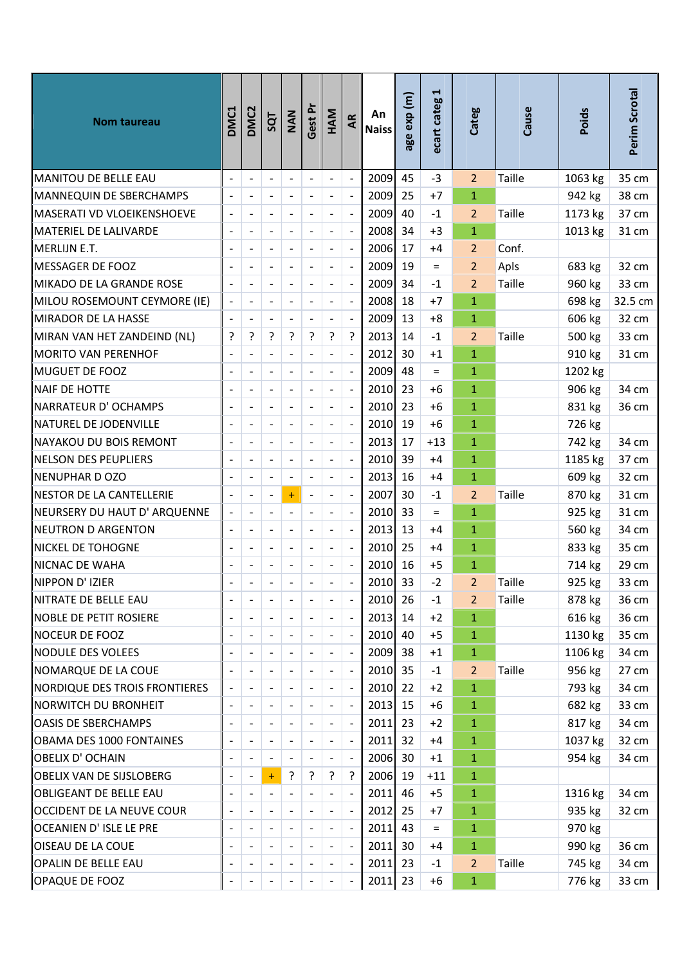| Nom taureau                   | DMC1 | DMC <sub>2</sub>             | SQT                      | NAN                      | Gest Pr                      | HAM                      | AR                       | An<br><b>Naiss</b> | age exp (m) | $\blacktriangleright$<br>ecart categ | Categ          | Cause         | <b>Poids</b> | Perim Scrotal |
|-------------------------------|------|------------------------------|--------------------------|--------------------------|------------------------------|--------------------------|--------------------------|--------------------|-------------|--------------------------------------|----------------|---------------|--------------|---------------|
| MANITOU DE BELLE EAU          |      | $\overline{a}$               | $\overline{\phantom{a}}$ | $\overline{\phantom{a}}$ | $\overline{a}$               | $\overline{\phantom{a}}$ | $\overline{\phantom{a}}$ | 2009               | 45          | $-3$                                 | $\overline{2}$ | Taille        | 1063 kg      | 35 cm         |
| MANNEQUIN DE SBERCHAMPS       |      | $\overline{a}$               |                          | $\overline{\phantom{a}}$ | $\overline{a}$               | $\overline{\phantom{a}}$ | $\overline{a}$           | 2009               | 25          | $+7$                                 | $\mathbf{1}$   |               | 942 kg       | 38 cm         |
| MASERATI VD VLOEIKENSHOEVE    |      |                              |                          | $\overline{a}$           | $\overline{a}$               | $\overline{\phantom{a}}$ | $\overline{\phantom{a}}$ | 2009               | 40          | $-1$                                 | $\overline{2}$ | Taille        | 1173 kg      | 37 cm         |
| MATERIEL DE LALIVARDE         |      | $\qquad \qquad \blacksquare$ | $\overline{\phantom{a}}$ | $\blacksquare$           | $\overline{\phantom{a}}$     | $\blacksquare$           | $\ddot{\phantom{a}}$     | 2008               | 34          | $+3$                                 | $\mathbf{1}$   |               | 1013 kg      | 31 cm         |
| MERLIJN E.T.                  |      |                              |                          |                          |                              |                          | $\overline{a}$           | 2006               | 17          | +4                                   | $\overline{2}$ | Conf.         |              |               |
| MESSAGER DE FOOZ              |      | $\overline{a}$               |                          | $\overline{\phantom{a}}$ | $\qquad \qquad \blacksquare$ | $\overline{\phantom{a}}$ | $\overline{\phantom{a}}$ | 2009               | 19          | $=$                                  | $\overline{2}$ | Apls          | 683 kg       | 32 cm         |
| MIKADO DE LA GRANDE ROSE      |      | $\overline{\phantom{a}}$     |                          | $\overline{\phantom{a}}$ |                              |                          | $\overline{\phantom{a}}$ | 2009               | 34          | $-1$                                 | $\overline{2}$ | <b>Taille</b> | 960 kg       | 33 cm         |
| MILOU ROSEMOUNT CEYMORE (IE)  |      | $\overline{a}$               | $\overline{\phantom{0}}$ | $\frac{1}{2}$            | $\qquad \qquad \blacksquare$ | $\overline{\phantom{a}}$ | $\overline{\phantom{a}}$ | 2008               | 18          | $+7$                                 | $\mathbf{1}$   |               | 698 kg       | 32.5 cm       |
| MIRADOR DE LA HASSE           |      |                              |                          | $\overline{a}$           |                              |                          | $\overline{\phantom{a}}$ | 2009               | 13          | $+8$                                 | $\mathbf{1}$   |               | 606 kg       | 32 cm         |
| MIRAN VAN HET ZANDEIND (NL)   | ŗ    | 5                            | 5.                       | ŗ                        | ?                            | ?                        | ?                        | 2013               | 14          | $-1$                                 | $\overline{2}$ | <b>Taille</b> | 500 kg       | 33 cm         |
| MORITO VAN PERENHOF           |      |                              |                          | $\blacksquare$           | $\overline{a}$               | $\overline{\phantom{a}}$ | $\overline{\phantom{a}}$ | 2012               | 30          | $+1$                                 | $\mathbf{1}$   |               | 910 kg       | 31 cm         |
| MUGUET DE FOOZ                |      |                              |                          | $\overline{a}$           |                              |                          | $\overline{a}$           | 2009               | 48          | $=$                                  | $\mathbf{1}$   |               | 1202 kg      |               |
| NAIF DE HOTTE                 |      | $\overline{\phantom{a}}$     | $\overline{\phantom{a}}$ | $\blacksquare$           | $\overline{\phantom{a}}$     | $\blacksquare$           | $\ddot{\phantom{a}}$     | 2010               | 23          | +6                                   | $\mathbf{1}$   |               | 906 kg       | 34 cm         |
| NARRATEUR D' OCHAMPS          |      |                              |                          |                          |                              |                          | $\overline{a}$           | 2010               | 23          | $+6$                                 | $\mathbf{1}$   |               | 831 kg       | 36 cm         |
| NATUREL DE JODENVILLE         |      | $\overline{a}$               |                          | $\frac{1}{2}$            | $\qquad \qquad \blacksquare$ | $\overline{\phantom{a}}$ | $\overline{\phantom{a}}$ | 2010               | 19          | $+6$                                 | $\mathbf{1}$   |               | 726 kg       |               |
| NAYAKOU DU BOIS REMONT        |      | $\overline{\phantom{a}}$     |                          | $\blacksquare$           | $\overline{\phantom{0}}$     |                          | $\overline{\phantom{a}}$ | 2013               | 17          | $+13$                                | $\mathbf{1}$   |               | 742 kg       | 34 cm         |
| NELSON DES PEUPLIERS          |      | $\overline{a}$               | $\overline{\phantom{a}}$ | $\blacksquare$           | $\qquad \qquad \blacksquare$ | $\blacksquare$           | $\overline{a}$           | 2010               | 39          | +4                                   | $\mathbf{1}$   |               | 1185 kg      | 37 cm         |
| NENUPHAR D OZO                |      |                              |                          | $\overline{a}$           |                              |                          | $\overline{\phantom{a}}$ | 2013               | 16          | $+4$                                 | $\mathbf{1}$   |               | 609 kg       | 32 cm         |
| NESTOR DE LA CANTELLERIE      |      | $\overline{a}$               |                          | $\ddot{}$                | $\overline{a}$               | $\overline{\phantom{a}}$ | $\overline{a}$           | 2007               | 30          | $-1$                                 | $\overline{2}$ | <b>Taille</b> | 870 kg       | 31 cm         |
| NEURSERY DU HAUT D' ARQUENNE  |      | $\overline{a}$               | $\blacksquare$           | $\overline{\phantom{a}}$ | $\overline{a}$               | $\blacksquare$           | $\overline{a}$           | 2010               | 33          | $=$                                  | $\mathbf{1}$   |               | 925 kg       | 31 cm         |
| NEUTRON D ARGENTON            |      | $\overline{a}$               |                          | $\overline{\phantom{0}}$ | $\overline{a}$               | $\overline{\phantom{a}}$ | $\overline{\phantom{a}}$ | 2013               | 13          | +4                                   | $\mathbf{1}$   |               | 560 kg       | 34 cm         |
| NICKEL DE TOHOGNE             |      | $\qquad \qquad \blacksquare$ | $\overline{\phantom{a}}$ | $\overline{\phantom{a}}$ | $\qquad \qquad \blacksquare$ | $\overline{\phantom{a}}$ | $\mathbb{L}$             | 2010               | 25          | $+4$                                 | $\mathbf{1}$   |               | 833 kg       | 35 cm         |
| NICNAC DE WAHA                |      |                              |                          |                          |                              |                          | $\overline{a}$           | 2010               | 16          | $+5$                                 | $\mathbf{1}$   |               | 714 kg       | 29 cm         |
| NIPPON D'IZIER                |      |                              |                          |                          |                              |                          |                          | 2010               | 33          | $-2$                                 | $\overline{2}$ | Taille        | 925 kg       | 33 cm         |
| ∥NITRATE DE BELLE EAU         |      |                              |                          |                          |                              |                          | $\blacksquare$           | 2010 26            |             | $-1$                                 | $\overline{2}$ | Taille        | 878 kg       | 36 cm         |
| NOBLE DE PETIT ROSIERE        |      | $\blacksquare$               |                          | $\overline{\phantom{a}}$ | $\overline{a}$               |                          | $\overline{\phantom{a}}$ | 2013               | 14          | $+2$                                 | $\mathbf{1}$   |               | 616 kg       | 36 cm         |
| NOCEUR DE FOOZ                |      |                              |                          | $\overline{\phantom{a}}$ |                              |                          | $\blacksquare$           | 2010               | 40          | $+5$                                 | $\mathbf{1}$   |               | 1130 kg      | 35 cm         |
| NODULE DES VOLEES             |      |                              |                          |                          |                              |                          | $\blacksquare$           | 2009               | 38          | $+1$                                 | $\mathbf{1}$   |               | 1106 kg      | 34 cm         |
| NOMARQUE DE LA COUE           |      | $\qquad \qquad \blacksquare$ |                          | $\overline{\phantom{a}}$ |                              |                          | $\overline{\phantom{a}}$ | 2010 35            |             | $-1$                                 | $\overline{2}$ | Taille        | 956 kg       | 27 cm         |
| NORDIQUE DES TROIS FRONTIERES |      | $\qquad \qquad \blacksquare$ |                          | $\overline{\phantom{a}}$ |                              |                          | $\blacksquare$           | 2010               | 22          | $+2$                                 | $\mathbf{1}$   |               | 793 kg       | 34 cm         |
| NORWITCH DU BRONHEIT          |      | $\overline{\phantom{a}}$     |                          |                          |                              |                          | $\overline{\phantom{a}}$ | 2013               | 15          | $+6$                                 | $\mathbf{1}$   |               | 682 kg       | 33 cm         |
| OASIS DE SBERCHAMPS           |      |                              |                          |                          |                              |                          | $\overline{\phantom{a}}$ | 2011               | 23          | $+2$                                 | $\mathbf{1}$   |               | 817 kg       | 34 cm         |
| OBAMA DES 1000 FONTAINES      |      | $\qquad \qquad \blacksquare$ |                          | $\overline{\phantom{a}}$ |                              |                          | $\overline{\phantom{a}}$ | 2011               | 32          | +4                                   | $\mathbf{1}$   |               | 1037 kg      | 32 cm         |
| OBELIX D' OCHAIN              |      |                              |                          |                          |                              |                          | $\overline{\phantom{a}}$ | 2006 30            |             | $+1$                                 | $\mathbf{1}$   |               | 954 kg       | 34 cm         |
| OBELIX VAN DE SIJSLOBERG      |      | $\qquad \qquad \blacksquare$ | $\ddot{}$                | ?                        | ?                            | ?                        | ?                        | 2006               | 19          | $+11$                                | $\mathbf{1}$   |               |              |               |
| OBLIGEANT DE BELLE EAU        |      | $\overline{a}$               |                          |                          |                              |                          | $\overline{\phantom{a}}$ | 2011               | 46          | $+5$                                 | $\mathbf{1}$   |               | 1316 kg      | 34 cm         |
| OCCIDENT DE LA NEUVE COUR     |      |                              |                          |                          |                              |                          | $\overline{\phantom{a}}$ | 2012               | 25          | $+7$                                 | $\mathbf{1}$   |               | 935 kg       | 32 cm         |
| OCEANIEN D'ISLE LE PRE        |      | $\qquad \qquad \blacksquare$ |                          | $\overline{\phantom{a}}$ |                              | $\overline{\phantom{a}}$ | $\blacksquare$           | 2011               | 43          | $=$                                  | $\mathbf{1}$   |               | 970 kg       |               |
| OISEAU DE LA COUE             |      |                              |                          |                          |                              |                          | $\overline{\phantom{a}}$ | 2011               | 30          | +4                                   | $\mathbf{1}$   |               | 990 kg       | 36 cm         |
| OPALIN DE BELLE EAU           |      |                              |                          |                          |                              |                          | $\blacksquare$           | $2011$ 23          |             | $-1$                                 | $\overline{2}$ | Taille        | 745 kg       | 34 cm         |
| OPAQUE DE FOOZ                |      |                              |                          |                          |                              |                          | $\overline{\phantom{a}}$ | $2011$ 23          |             | $+6$                                 | $\mathbf{1}$   |               | 776 kg       | 33 cm         |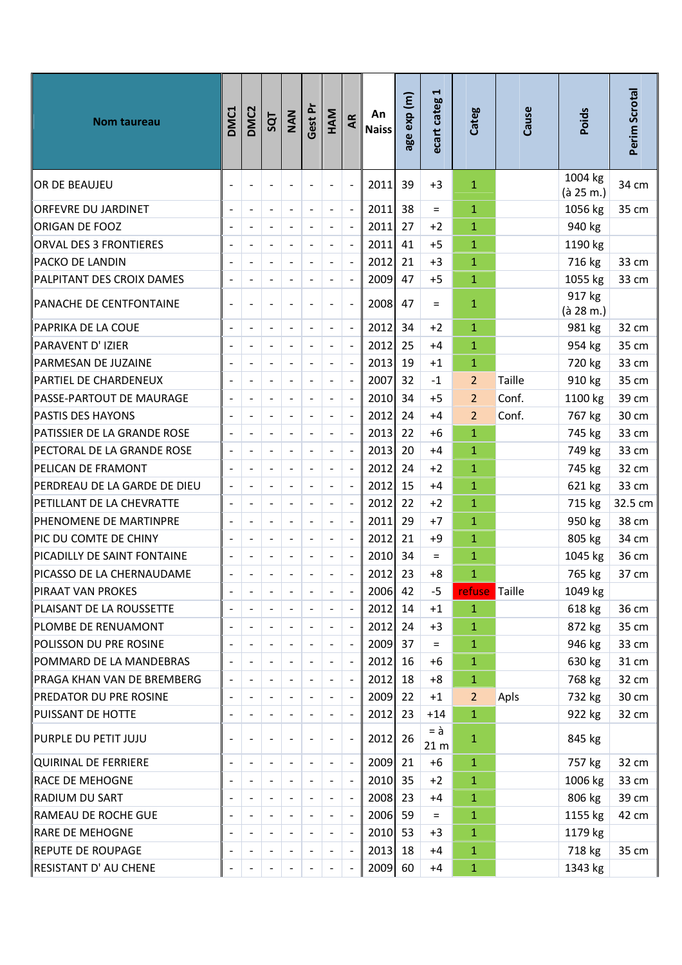| Nom taureau                      | DMC1 | DMC <sub>2</sub>             | SQT                      | NAN                          | Gest Pr                      | HAM                      | AR                       | An<br><b>Naiss</b> | age exp (m) | H<br>ecart categ                   | Categ                | Cause  | Poids                | Perim Scrotal |
|----------------------------------|------|------------------------------|--------------------------|------------------------------|------------------------------|--------------------------|--------------------------|--------------------|-------------|------------------------------------|----------------------|--------|----------------------|---------------|
| OR DE BEAUJEU                    |      |                              |                          | $\overline{a}$               |                              | $\overline{\phantom{a}}$ | $\overline{\phantom{a}}$ | 2011               | 39          | $+3$                               | $\mathbf{1}$         |        | 1004 kg<br>(à 25 m.) | 34 cm         |
| <b>ORFEVRE DU JARDINET</b>       |      | $\overline{a}$               | $\overline{a}$           | $\overline{\phantom{a}}$     | $\overline{a}$               | $\overline{\phantom{a}}$ | $\overline{\phantom{a}}$ | 2011               | 38          | $\equiv$                           | $\mathbf{1}$         |        | 1056 kg              | 35 cm         |
| ORIGAN DE FOOZ                   |      | $\overline{a}$               |                          | $\overline{a}$               | $\overline{a}$               |                          | $\overline{\phantom{a}}$ | 2011               | 27          | $+2$                               | $\mathbf{1}$         |        | 940 kg               |               |
| <b>ORVAL DES 3 FRONTIERES</b>    |      | $\overline{a}$               | $\overline{\phantom{a}}$ | $\overline{\phantom{a}}$     | $\overline{\phantom{a}}$     | $\overline{\phantom{a}}$ | $\overline{\phantom{a}}$ | 2011               | 41          | $+5$                               | $\mathbf{1}$         |        | 1190 kg              |               |
| <b>PACKO DE LANDIN</b>           |      |                              |                          | $\overline{a}$               |                              |                          | $\overline{a}$           | 2012               | 21          | $+3$                               | 1                    |        | 716 kg               | 33 cm         |
| <b>PALPITANT DES CROIX DAMES</b> |      | $\overline{\phantom{a}}$     | $\overline{\phantom{0}}$ | $\overline{a}$               | $\overline{\phantom{a}}$     | $\overline{\phantom{a}}$ | $\blacksquare$           | 2009               | 47          | $+5$                               | $\mathbf{1}$         |        | 1055 kg              | 33 cm         |
| PANACHE DE CENTFONTAINE          |      | $\overline{a}$               |                          | $\overline{\phantom{a}}$     |                              |                          | $\overline{\phantom{a}}$ | 2008               | 47          | $=$                                | $\mathbf{1}$         |        | 917 kg<br>(à 28 m.)  |               |
| ∥PAPRIKA DE LA COUE              |      | $\blacksquare$               | $\overline{\phantom{a}}$ | $\bar{\phantom{a}}$          | $\overline{\phantom{a}}$     | $\blacksquare$           | $\overline{\phantom{a}}$ | 2012               | 34          | $+2$                               | 1                    |        | 981 kg               | 32 cm         |
| PARAVENT D'IZIER                 |      |                              |                          | $\blacksquare$               |                              |                          | $\overline{\phantom{a}}$ | 2012               | 25          | $+4$                               | $\mathbf{1}$         |        | 954 kg               | 35 cm         |
| PARMESAN DE JUZAINE              |      | $\overline{a}$               | $\overline{a}$           | $\qquad \qquad \blacksquare$ | $\overline{\phantom{a}}$     | $\overline{\phantom{a}}$ | $\overline{\phantom{a}}$ | 2013               | 19          | $+1$                               | 1                    |        | 720 kg               | 33 cm         |
| <b>PARTIEL DE CHARDENEUX</b>     |      |                              |                          | $\overline{\phantom{a}}$     |                              | $\overline{\phantom{a}}$ | $\blacksquare$           | 2007               | 32          | $-1$                               | 2                    | Taille | 910 kg               | 35 cm         |
| PASSE-PARTOUT DE MAURAGE         |      | $\overline{a}$               |                          | $\frac{1}{2}$                | $\overline{a}$               | $\overline{\phantom{0}}$ | $\overline{a}$           | 2010               | 34          | $+5$                               | $\overline{2}$       | Conf.  | 1100 kg              | 39 cm         |
| <b>PASTIS DES HAYONS</b>         |      | $\overline{a}$               |                          | $\qquad \qquad \blacksquare$ | -                            | $\overline{\phantom{a}}$ | $\blacksquare$           | 2012               | 24          | +4                                 | $\overline{2}$       | Conf.  | 767 kg               | 30 cm         |
| PATISSIER DE LA GRANDE ROSE      |      | $\overline{a}$               | $\overline{\phantom{a}}$ | $\overline{a}$               | $\overline{a}$               | $\overline{\phantom{a}}$ | $\overline{a}$           | 2013               | 22          | $+6$                               | $\mathbf{1}$         |        | 745 kg               | 33 cm         |
| PECTORAL DE LA GRANDE ROSE       |      | $\qquad \qquad \blacksquare$ | $\overline{a}$           | $\overline{\phantom{a}}$     | $\overline{\phantom{a}}$     | $\overline{\phantom{a}}$ | $\Box$                   | 2013               | 20          | +4                                 | 1                    |        | 749 kg               | 33 cm         |
| PELICAN DE FRAMONT               |      |                              |                          | $\overline{a}$               |                              |                          | $\overline{a}$           | 2012               | 24          | $+2$                               | 1                    |        | 745 kg               | 32 cm         |
| PERDREAU DE LA GARDE DE DIEU     |      | $\overline{a}$               | $\overline{a}$           | $\overline{\phantom{0}}$     | $\overline{\phantom{a}}$     | $\blacksquare$           | $\overline{a}$           | 2012               | 15          | $+4$                               | 1                    |        | 621 kg               | 33 cm         |
| PETILLANT DE LA CHEVRATTE        |      |                              |                          | $\overline{\phantom{a}}$     | $\overline{a}$               |                          | $\blacksquare$           | 2012               | 22          | $+2$                               | 1                    |        | 715 kg               | 32.5 cm       |
| PHENOMENE DE MARTINPRE           |      | $\overline{a}$               | $\overline{\phantom{0}}$ | $\qquad \qquad \blacksquare$ | $\overline{\phantom{a}}$     | $\overline{\phantom{a}}$ | $\overline{\phantom{a}}$ | 2011               | 29          | $+7$                               | 1                    |        | 950 kg               | 38 cm         |
| PIC DU COMTE DE CHINY            |      |                              |                          | $\qquad \qquad \blacksquare$ | $\overline{a}$               | $\overline{\phantom{a}}$ | $\overline{\phantom{a}}$ | 2012               | 21          | +9                                 | $\mathbf{1}$         |        | 805 kg               | 34 cm         |
| PICADILLY DE SAINT FONTAINE      |      |                              |                          | $\overline{a}$               | $\overline{a}$               |                          | $\overline{\phantom{a}}$ | 2010               | 34          | $\equiv$                           | 1                    |        | 1045 kg              | 36 cm         |
| PICASSO DE LA CHERNAUDAME        |      |                              |                          | $\overline{a}$               |                              |                          | $\frac{1}{2}$            | 2012               | 23          | $+8$                               | $\mathbf{1}$         |        | 765 kg               | 37 cm         |
| PIRAAT VAN PROKES                |      | $\qquad \qquad -$            | $\blacksquare$           | $\overline{\phantom{a}}$     | $\qquad \qquad \blacksquare$ | $\overline{\phantom{a}}$ | $\blacksquare$           | 2006 42            |             | -5                                 | <b>refuse</b> Taille |        | 1049 kg              |               |
| PLAISANT DE LA ROUSSETTE         |      |                              |                          |                              |                              |                          | $\overline{\phantom{a}}$ | 2012               | 14          | $+1$                               | $\mathbf{1}$         |        | 618 kg               | 36 cm         |
| PLOMBE DE RENUAMONT              |      |                              |                          |                              |                              |                          | $\overline{a}$           | 2012               | 24          | $+3$                               | $\mathbf{1}$         |        | 872 kg               | 35 cm         |
| POLISSON DU PRE ROSINE           |      | $\qquad \qquad -$            |                          | $\overline{\phantom{a}}$     |                              |                          | $\overline{\phantom{a}}$ | 2009               | 37          | $=$                                | $\mathbf{1}$         |        | 946 kg               | 33 cm         |
| POMMARD DE LA MANDEBRAS          |      |                              |                          |                              |                              |                          | $\overline{\phantom{a}}$ | 2012               | 16          | +6                                 | $\mathbf{1}$         |        | 630 kg               | 31 cm         |
| PRAGA KHAN VAN DE BREMBERG       |      | $\blacksquare$               |                          | $\overline{\phantom{a}}$     |                              |                          | $\overline{\phantom{a}}$ | 2012               | 18          | $+8$                               | $\mathbf{1}$         |        | 768 kg               | 32 cm         |
| PREDATOR DU PRE ROSINE           |      |                              |                          |                              |                              |                          | $\blacksquare$           | 2009               | 22          | $+1$                               | 2                    | Apls   | 732 kg               | 30 cm         |
| PUISSANT DE HOTTE                |      |                              |                          |                              |                              |                          | $\overline{\phantom{a}}$ | 2012               | 23          | $+14$                              | $\mathbf{1}$         |        | 922 kg               | 32 cm         |
| PURPLE DU PETIT JUJU             |      |                              |                          | $\overline{a}$               |                              |                          | $\overline{\phantom{a}}$ | 2012               | 26          | $=$ $\grave{a}$<br>21 <sub>m</sub> | $\mathbf{1}$         |        | 845 kg               |               |
| QUIRINAL DE FERRIERE             |      | $\frac{1}{2}$                | $\overline{\phantom{a}}$ | $\blacksquare$               | $\overline{a}$               | $\blacksquare$           | $\ddot{\phantom{a}}$     | 2009               | 21          | $+6$                               | $\mathbf{1}$         |        | 757 kg               | 32 cm         |
| RACE DE MEHOGNE                  |      | $\qquad \qquad \blacksquare$ |                          | $\overline{\phantom{a}}$     |                              |                          | $\overline{\phantom{a}}$ | 2010               | 35          | $+2$                               | $\mathbf{1}$         |        | 1006 kg              | 33 cm         |
| RADIUM DU SART                   |      |                              |                          |                              |                              |                          | $\blacksquare$           | 2008               | 23          | $+4$                               | $\mathbf{1}$         |        | 806 kg               | 39 cm         |
| RAMEAU DE ROCHE GUE              |      | $\qquad \qquad \blacksquare$ |                          | $\blacksquare$               |                              |                          | $\overline{\phantom{a}}$ | 2006 59            |             | $=$                                | $\mathbf{1}$         |        | 1155 kg              | 42 cm         |
| RARE DE MEHOGNE                  |      |                              |                          |                              |                              |                          | $\overline{\phantom{a}}$ | 2010 53            |             | $+3$                               | $\mathbf{1}$         |        | 1179 kg              |               |
| REPUTE DE ROUPAGE                |      |                              |                          | $\qquad \qquad \blacksquare$ | $\overline{\phantom{a}}$     |                          | $\overline{\phantom{a}}$ | 2013               | 18          | +4                                 | $\mathbf{1}$         |        | 718 kg               | 35 cm         |
| RESISTANT D' AU CHENE            |      | $\overline{\phantom{0}}$     |                          |                              |                              |                          | $\overline{\phantom{a}}$ | 2009               | 60          | $+4$                               | $\mathbf{1}$         |        | 1343 kg              |               |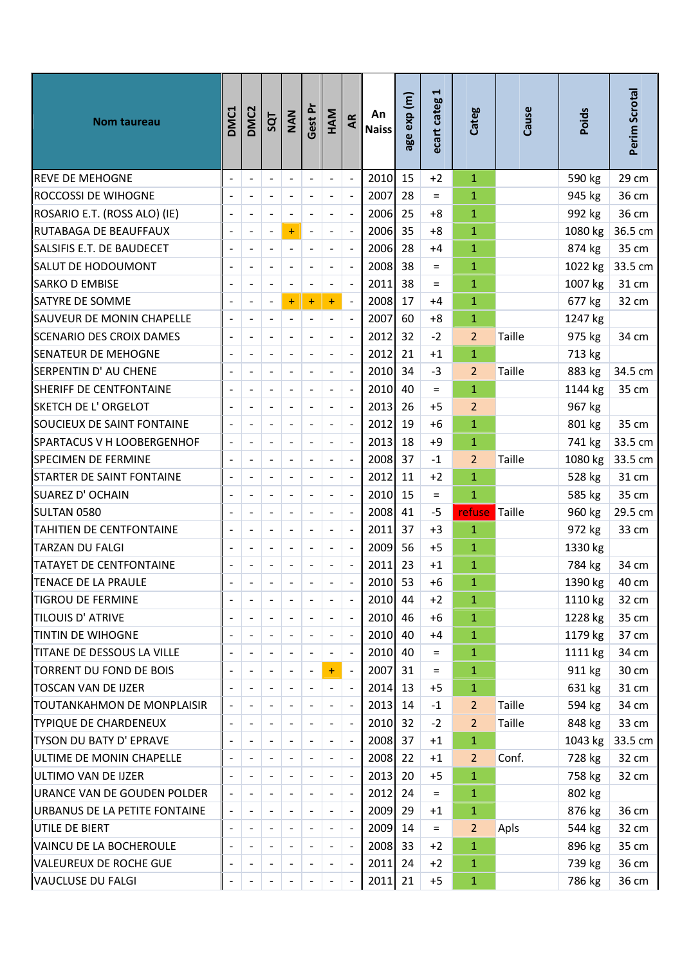| Nom taureau                     | DMC1 | DMC <sub>2</sub>             | SQT                          | NAN                      | Gest Pr                  | HAM                          | AR                       | An<br><b>Naiss</b> | age exp (m) | H<br>ecart categ | Categ          | Cause         | Poids   | Perim Scrotal |
|---------------------------------|------|------------------------------|------------------------------|--------------------------|--------------------------|------------------------------|--------------------------|--------------------|-------------|------------------|----------------|---------------|---------|---------------|
| REVE DE MEHOGNE                 |      | $\overline{\phantom{a}}$     | $\blacksquare$               | $\overline{\phantom{a}}$ | $\overline{a}$           | $\frac{1}{2}$                | $\blacksquare$           | 2010               | 15          | $+2$             | $\mathbf{1}$   |               | 590 kg  | 29 cm         |
| ROCCOSSI DE WIHOGNE             |      |                              |                              | $\overline{\phantom{a}}$ | $\overline{a}$           | $\qquad \qquad \blacksquare$ | $\blacksquare$           | 2007               | 28          | $=$              | $\mathbf{1}$   |               | 945 kg  | 36 cm         |
| ROSARIO E.T. (ROSS ALO) (IE)    |      | $\blacksquare$               |                              | $\overline{\phantom{a}}$ |                          |                              | $\Box$                   | 2006               | 25          | $+8$             | $\mathbf{1}$   |               | 992 kg  | 36 cm         |
| RUTABAGA DE BEAUFFAUX           |      | $\overline{\phantom{a}}$     | $\overline{\phantom{a}}$     | $\ddot{}$                | $\overline{a}$           | $\overline{\phantom{a}}$     | $\mathbb{L}$             | 2006               | 35          | $+8$             | $\mathbf{1}$   |               | 1080 kg | 36.5 cm       |
| SALSIFIS E.T. DE BAUDECET       |      |                              |                              | $\overline{\phantom{a}}$ |                          |                              | $\overline{a}$           | 2006               | 28          | $+4$             | $\mathbf{1}$   |               | 874 kg  | 35 cm         |
| SALUT DE HODOUMONT              |      |                              | $\overline{\phantom{a}}$     | $\overline{\phantom{a}}$ | $\overline{a}$           | $\blacksquare$               | $\overline{\phantom{a}}$ | 2008               | 38          | $=$              | $\mathbf{1}$   |               | 1022 kg | 33.5 cm       |
| SARKO D EMBISE                  |      |                              |                              | $\overline{\phantom{a}}$ |                          |                              | $\Box$                   | 2011               | 38          | $=$              | $\mathbf{1}$   |               | 1007 kg | 31 cm         |
| SATYRE DE SOMME                 |      | $\blacksquare$               | $\qquad \qquad \blacksquare$ | $\ddot{}$                | $\ddot{}$                | $\ddot{}$                    | $\Box$                   | 2008               | 17          | $+4$             | $\mathbf{1}$   |               | 677 kg  | 32 cm         |
| SAUVEUR DE MONIN CHAPELLE       |      | $\overline{\phantom{a}}$     |                              | $\overline{\phantom{a}}$ | $\overline{a}$           |                              | $\overline{a}$           | 2007               | 60          | $+8$             | $\mathbf{1}$   |               | 1247 kg |               |
| SCENARIO DES CROIX DAMES        |      |                              |                              | $\blacksquare$           |                          | $\blacksquare$               | $\blacksquare$           | 2012               | 32          | $-2$             | $\overline{2}$ | <b>Taille</b> | 975 kg  | 34 cm         |
| SENATEUR DE MEHOGNE             |      | $\qquad \qquad \blacksquare$ |                              | $\overline{\phantom{a}}$ | $\overline{a}$           | $\overline{\phantom{a}}$     | $\mathbb{L}$             | 2012               | 21          | $+1$             | $\mathbf{1}$   |               | 713 kg  |               |
| SERPENTIN D' AU CHENE           |      | $\frac{1}{2}$                |                              | $\overline{a}$           |                          |                              | $\overline{a}$           | 2010               | 34          | $-3$             | 2 <sup>2</sup> | Taille        | 883 kg  | 34.5 cm       |
| SHERIFF DE CENTFONTAINE         |      | $\qquad \qquad \blacksquare$ |                              | $\Box$                   | $\overline{a}$           | $\overline{\phantom{a}}$     | $\Box$                   | 2010               | 40          | $=$              | $\mathbf{1}$   |               | 1144 kg | 35 cm         |
| SKETCH DE L' ORGELOT            |      |                              |                              |                          |                          |                              | $\overline{a}$           | 2013               | 26          | $+5$             | $\overline{2}$ |               | 967 kg  |               |
| SOUCIEUX DE SAINT FONTAINE      |      |                              | $\overline{\phantom{a}}$     | $\blacksquare$           | $\overline{a}$           | $\overline{\phantom{a}}$     | $\mathbb{L}$             | 2012               | 19          | $+6$             | $\mathbf{1}$   |               | 801 kg  | 35 cm         |
| SPARTACUS V H LOOBERGENHOF      |      |                              |                              | $\overline{\phantom{a}}$ |                          |                              | $\overline{\phantom{a}}$ | 2013               | 18          | $+9$             | $\mathbf{1}$   |               | 741 kg  | 33.5 cm       |
| SPECIMEN DE FERMINE             |      | $\blacksquare$               | $\overline{\phantom{a}}$     | $\overline{\phantom{a}}$ | $\overline{a}$           | $\overline{\phantom{a}}$     | $\mathbb{L}$             | 2008               | 37          | $-1$             | $\overline{2}$ | <b>Taille</b> | 1080 kg | 33.5 cm       |
| STARTER DE SAINT FONTAINE       |      |                              |                              | $\overline{\phantom{a}}$ |                          |                              | $\overline{\phantom{a}}$ | 2012               | 11          | $+2$             | $\mathbf{1}$   |               | 528 kg  | 31 cm         |
| SUAREZ D' OCHAIN                |      |                              |                              | $\blacksquare$           |                          |                              | $\overline{\phantom{a}}$ | 2010               | 15          | $\equiv$         | $\mathbf{1}$   |               | 585 kg  | 35 cm         |
| SULTAN 0580                     |      | $\blacksquare$               |                              | $\blacksquare$           | $\overline{a}$           | $\blacksquare$               | $\ddot{\phantom{a}}$     | 2008               | 41          | $-5$             | refuse Taille  |               | 960 kg  | 29.5 cm       |
| TAHITIEN DE CENTFONTAINE        |      | $\overline{\phantom{a}}$     |                              | $\overline{\phantom{a}}$ | $\overline{\phantom{0}}$ | $\blacksquare$               | $\Box$                   | 2011               | 37          | $+3$             | $\mathbf{1}$   |               | 972 kg  | 33 cm         |
| TARZAN DU FALGI                 |      | $\qquad \qquad \blacksquare$ |                              | $\blacksquare$           | $\overline{a}$           | $\overline{\phantom{a}}$     | $\Box$                   | 2009               | 56          | $+5$             | $\mathbf{1}$   |               | 1330 kg |               |
| TATAYET DE CENTFONTAINE         |      |                              |                              |                          |                          |                              | $\overline{a}$           | 2011               | 23          | $+1$             | $\mathbf{1}$   |               | 784 kg  | 34 cm         |
| TENACE DE LA PRAULE             |      |                              |                              |                          |                          |                              |                          | 2010 53            |             | $+6$             | $\mathbf{1}$   |               | 1390 kg | 40 cm         |
| TIGROU DE FERMINE               |      | $\overline{\phantom{a}}$     |                              | $\overline{\phantom{a}}$ |                          |                              | $\blacksquare$           | 2010 44            |             | $+2$             | $\mathbf{1}$   |               | 1110 kg | 32 cm         |
| TILOUIS D' ATRIVE               |      | $\blacksquare$               |                              | $\blacksquare$           |                          | $\overline{\phantom{a}}$     | $\Box$                   | $2010$ 46          |             | $+6$             | $\mathbf{1}$   |               | 1228 kg | 35 cm         |
| TINTIN DE WIHOGNE               |      |                              |                              | $\overline{\phantom{a}}$ |                          |                              | $\overline{\phantom{a}}$ | $2010$ 40          |             | $+4$             | $\mathbf{1}$   |               | 1179 kg | 37 cm         |
| $\ $ TITANE DE DESSOUS LA VILLE |      |                              |                              | $\overline{\phantom{a}}$ |                          |                              | $\blacksquare$           | $2010$ 40          |             | $=$              | $\mathbf{1}$   |               | 1111 kg | 34 cm         |
| TORRENT DU FOND DE BOIS         |      | $\overline{\phantom{a}}$     |                              | $\overline{\phantom{a}}$ | $\overline{a}$           | $+$                          | $\blacksquare$           | 2007 31            |             | $\equiv$         | $\mathbf{1}$   |               | 911 kg  | 30 cm         |
| TOSCAN VAN DE IJZER             |      | $\overline{\phantom{a}}$     |                              | $\overline{\phantom{a}}$ |                          | -                            | $\blacksquare$           | $2014$ 13          |             | $+5$             | $\mathbf{1}$   |               | 631 kg  | 31 cm         |
| TOUTANKAHMON DE MONPLAISIR      |      | $\overline{\phantom{a}}$     |                              | $\overline{\phantom{a}}$ |                          |                              | $\overline{\phantom{a}}$ | 2013 14            |             | $-1$             | $\overline{2}$ | Taille        | 594 kg  | 34 cm         |
| TYPIQUE DE CHARDENEUX           |      |                              |                              |                          |                          |                              | $\overline{\phantom{a}}$ | 2010 32            |             | $-2$             | $\overline{2}$ | <b>Taille</b> | 848 kg  | 33 cm         |
| TYSON DU BATY D' EPRAVE         |      |                              |                              | $\overline{\phantom{a}}$ |                          |                              | $\blacksquare$           | 2008 37            |             | $+1$             | $\mathbf{1}$   |               | 1043 kg | 33.5 cm       |
| ULTIME DE MONIN CHAPELLE        |      |                              |                              | $\overline{\phantom{a}}$ |                          |                              | $\overline{\phantom{a}}$ | 2008 22            |             | $+1$             | $\overline{2}$ | Conf.         | 728 kg  | 32 cm         |
| ULTIMO VAN DE IJZER             |      | $\qquad \qquad \blacksquare$ |                              | $\blacksquare$           |                          |                              | $\blacksquare$           | 2013               | 20          | $+5$             | $\mathbf{1}$   |               | 758 kg  | 32 cm         |
| URANCE VAN DE GOUDEN POLDER     |      | $\qquad \qquad \blacksquare$ |                              | $\overline{\phantom{a}}$ |                          |                              | $\overline{\phantom{a}}$ | 2012 24            |             | $=$              | $\mathbf{1}$   |               | 802 kg  |               |
| URBANUS DE LA PETITE FONTAINE   |      | $\overline{\phantom{a}}$     |                              | $\overline{\phantom{a}}$ |                          |                              | $\blacksquare$           | 2009               | 29          | $+1$             | $\mathbf{1}$   |               | 876 kg  | 36 cm         |
| UTILE DE BIERT                  |      | $\overline{\phantom{a}}$     |                              | $\overline{\phantom{a}}$ |                          |                              | $\blacksquare$           | 2009 14            |             | $=$              | $\overline{2}$ | Apls          | 544 kg  | 32 cm         |
| VAINCU DE LA BOCHEROULE         |      |                              |                              |                          |                          |                              | $\blacksquare$           | 2008 33            |             | $+2$             | $\mathbf{1}$   |               | 896 kg  | 35 cm         |
| VALEUREUX DE ROCHE GUE          |      | $\overline{\phantom{a}}$     |                              | $\blacksquare$           |                          |                              | $\overline{\phantom{a}}$ | $2011$ 24          |             | $+2$             | $\mathbf{1}$   |               | 739 kg  | 36 cm         |
| VAUCLUSE DU FALGI               |      |                              |                              |                          |                          |                              | $\overline{\phantom{a}}$ | $2011$ 21          |             | $+5$             | $\mathbf{1}$   |               | 786 kg  | 36 cm         |